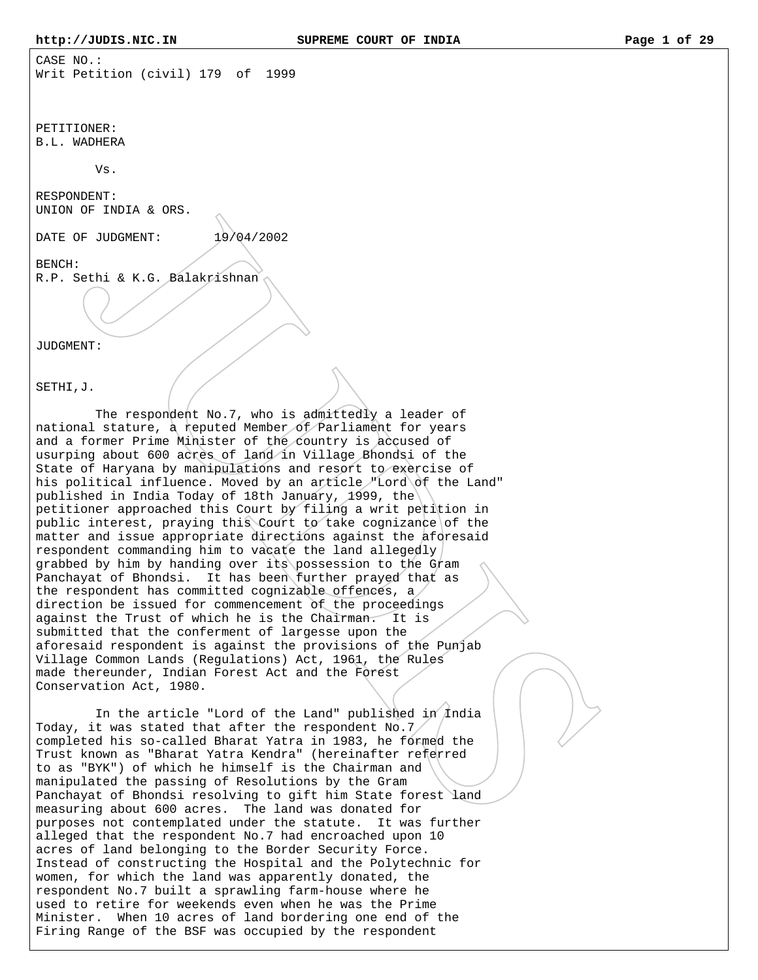CASE NO.: Writ Petition (civil) 179 of 1999

PETITIONER: B.L. WADHERA

Vs.

RESPONDENT: UNION OF INDIA & ORS.

DATE OF JUDGMENT:  $19/04/2002$ 

BENCH: R.P. Sethi & K.G. Balakrishnan

JUDGMENT:

SETHI,J.

 The respondent No.7, who is admittedly a leader of national stature, a reputed Member of Parliament for years and a former Prime Minister of the country is accused of usurping about 600 acres of land in Village Bhondsi of the State of Haryana by manipulations and resort to exercise of his political influence. Moved by an article "Lord of the Land" published in India Today of 18th January, 1999, the petitioner approached this Court by filing a writ petition in public interest, praying this Court to take cognizance of the matter and issue appropriate directions against the aforesaid respondent commanding him to vacate the land allegedly grabbed by him by handing over its possession to the Gram Panchayat of Bhondsi. It has been further prayed that as the respondent has committed cognizable offences, a direction be issued for commencement of the proceedings against the Trust of which he is the Chairman. It is submitted that the conferment of largesse upon the aforesaid respondent is against the provisions of the Punjab Village Common Lands (Regulations) Act, 1961, the Rules made thereunder, Indian Forest Act and the Forest Conservation Act, 1980.

In the article "Lord of the Land" published in India Today, it was stated that after the respondent No.7 $/$ completed his so-called Bharat Yatra in 1983, he formed the Trust known as "Bharat Yatra Kendra" (hereinafter referred to as "BYK") of which he himself is the Chairman and manipulated the passing of Resolutions by the Gram Panchayat of Bhondsi resolving to gift him State forest land measuring about 600 acres. The land was donated for purposes not contemplated under the statute. It was further alleged that the respondent No.7 had encroached upon 10 acres of land belonging to the Border Security Force. Instead of constructing the Hospital and the Polytechnic for women, for which the land was apparently donated, the respondent No.7 built a sprawling farm-house where he used to retire for weekends even when he was the Prime Minister. When 10 acres of land bordering one end of the Firing Range of the BSF was occupied by the respondent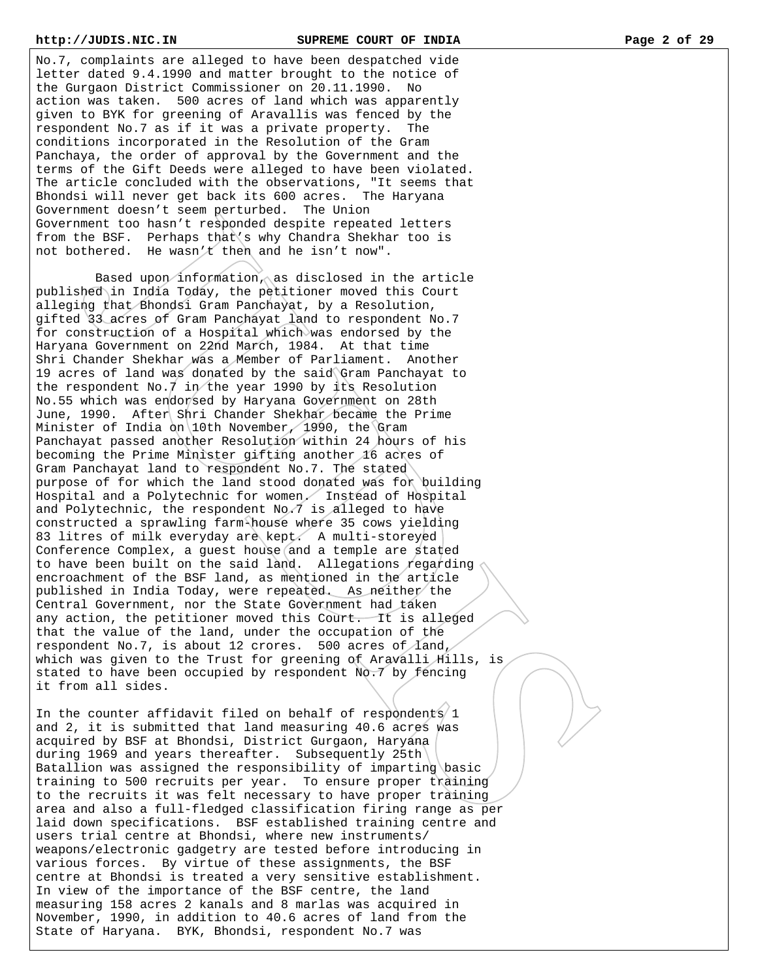No.7, complaints are alleged to have been despatched vide letter dated 9.4.1990 and matter brought to the notice of the Gurgaon District Commissioner on 20.11.1990. No action was taken. 500 acres of land which was apparently given to BYK for greening of Aravallis was fenced by the respondent No.7 as if it was a private property. The conditions incorporated in the Resolution of the Gram Panchaya, the order of approval by the Government and the terms of the Gift Deeds were alleged to have been violated. The article concluded with the observations, "It seems that Bhondsi will never get back its 600 acres. The Haryana Government doesn't seem perturbed. The Union Government too hasn't responded despite repeated letters from the BSF. Perhaps that's why Chandra Shekhar too is not bothered. He wasn't then and he isn't now".

 Based upon information, as disclosed in the article published in India Today, the petitioner moved this Court alleging that Bhondsi Gram Panchayat, by a Resolution, gifted 33 acres of Gram Panchayat land to respondent No.7 for construction of a Hospital which was endorsed by the Haryana Government on 22nd March, 1984. At that time Shri Chander Shekhar was a Member of Parliament. Another 19 acres of land was donated by the said Gram Panchayat to the respondent No.  $\frac{1}{\pi}$  in the year 1990 by its Resolution No.55 which was endorsed by Haryana Government on 28th June, 1990. After Shri Chander Shekhar became the Prime Minister of India on 10th November, 1990, the Gram Panchayat passed another Resolution within 24 hours of his becoming the Prime Minister gifting another 16 acres of Gram Panchayat land to respondent No.7. The stated purpose of for which the land stood donated was for building Hospital and a Polytechnic for women. Instead of Hospital and Polytechnic, the respondent No.7 is alleged to have constructed a sprawling farm-house where 35 cows yielding 83 litres of milk everyday are kept. A multi-storeyed Conference Complex, a guest house and a temple are stated to have been built on the said land. Allegations regarding encroachment of the BSF land, as mentioned in the article published in India Today, were repeated. As neither the Central Government, nor the State Government had taken any action, the petitioner moved this Court. It is alleged that the value of the land, under the occupation of the respondent No.7, is about 12 crores. 500 acres of  $\Lambda$ and, which was given to the Trust for greening of Aravalli Hills, is stated to have been occupied by respondent No.7 by fencing it from all sides.

In the counter affidavit filed on behalf of respondents  $1$ and 2, it is submitted that land measuring 40.6 acres was acquired by BSF at Bhondsi, District Gurgaon, Haryana during 1969 and years thereafter. Subsequently 25th Batallion was assigned the responsibility of imparting basic training to 500 recruits per year. To ensure proper training to the recruits it was felt necessary to have proper training area and also a full-fledged classification firing range as per laid down specifications. BSF established training centre and users trial centre at Bhondsi, where new instruments/ weapons/electronic gadgetry are tested before introducing in various forces. By virtue of these assignments, the BSF centre at Bhondsi is treated a very sensitive establishment. In view of the importance of the BSF centre, the land measuring 158 acres 2 kanals and 8 marlas was acquired in November, 1990, in addition to 40.6 acres of land from the State of Haryana. BYK, Bhondsi, respondent No.7 was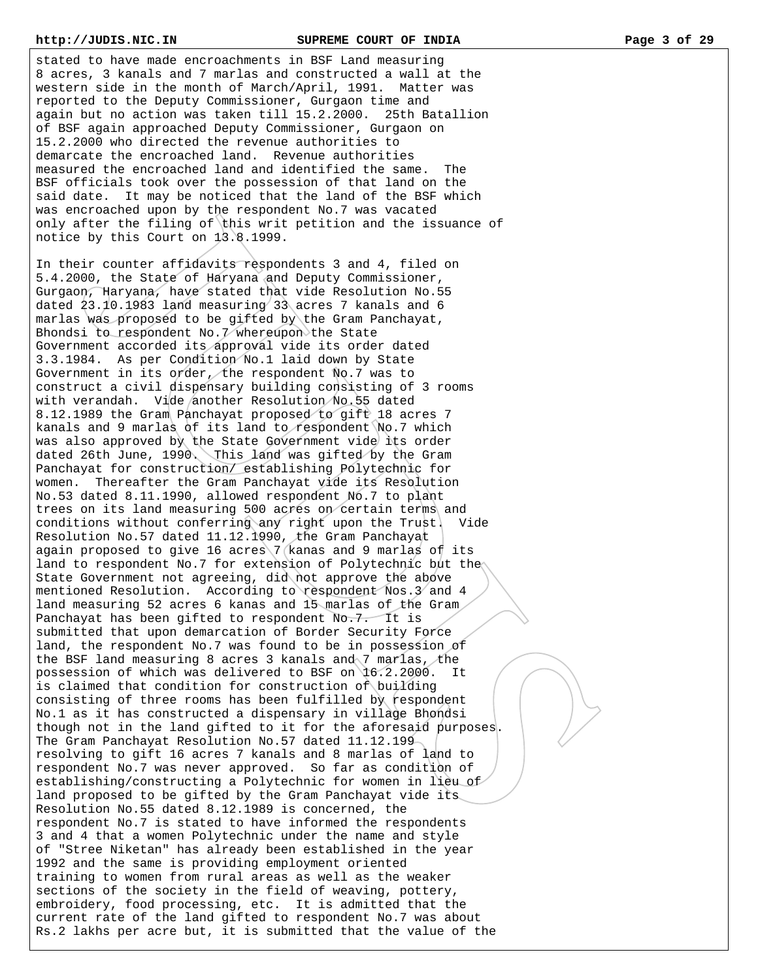stated to have made encroachments in BSF Land measuring 8 acres, 3 kanals and 7 marlas and constructed a wall at the western side in the month of March/April, 1991. Matter was reported to the Deputy Commissioner, Gurgaon time and again but no action was taken till 15.2.2000. 25th Batallion of BSF again approached Deputy Commissioner, Gurgaon on 15.2.2000 who directed the revenue authorities to demarcate the encroached land. Revenue authorities measured the encroached land and identified the same. The BSF officials took over the possession of that land on the said date. It may be noticed that the land of the BSF which was encroached upon by the respondent No.7 was vacated only after the filing of this writ petition and the issuance of notice by this Court on 13.8.1999.

In their counter affidavits respondents 3 and 4, filed on 5.4.2000, the State of Haryana and Deputy Commissioner, Gurgaon, Haryana, have stated that vide Resolution No.55 dated 23.10.1983 land measuring 33 acres 7 kanals and 6 marlas was proposed to be gifted by the Gram Panchayat, Bhondsi to respondent No.7 whereupon the State Government accorded its approval vide its order dated 3.3.1984. As per Condition No.1 laid down by State Government in its order, the respondent  $N$ o.7 was to construct a civil dispensary building consisting of 3 rooms with verandah. Vide another Resolution No.55 dated 8.12.1989 the Gram Panchayat proposed to gift 18 acres 7 kanals and 9 marlas of its land to respondent No.7 which was also approved by the State Government vide its order dated 26th June, 1990. This land was gifted by the Gram Panchayat for construction/ establishing Polytechnic for women. Thereafter the Gram Panchayat vide its Resolution No.53 dated 8.11.1990, allowed respondent No.7 to plant trees on its land measuring 500 acres on certain terms and conditions without conferring any right upon the Trust. Vide Resolution No.57 dated 11.12.1990, the Gram Panchayat again proposed to give 16 acres  $7$  (kanas and 9 marlas of its land to respondent No.7 for extension of Polytechnic but the State Government not agreeing, did not approve the above mentioned Resolution. According to respondent Nos.3 and 4 land measuring 52 acres 6 kanas and 15 marlas of the Gram Panchayat has been gifted to respondent No.7. It is submitted that upon demarcation of Border Security Force land, the respondent No.7 was found to be in possession of the BSF land measuring 8 acres 3 kanals and 7 marlas, the possession of which was delivered to BSF on 16.2.2000. It is claimed that condition for construction of building consisting of three rooms has been fulfilled by respondent No.1 as it has constructed a dispensary in village Bhondsi though not in the land gifted to it for the aforesaid purposes. The Gram Panchayat Resolution No.57 dated 11.12.199 resolving to gift 16 acres 7 kanals and 8 marlas of land to respondent No.7 was never approved. So far as condition of establishing/constructing a Polytechnic for women in lieu of land proposed to be gifted by the Gram Panchayat vide its Resolution No.55 dated 8.12.1989 is concerned, the respondent No.7 is stated to have informed the respondents 3 and 4 that a women Polytechnic under the name and style of "Stree Niketan" has already been established in the year 1992 and the same is providing employment oriented training to women from rural areas as well as the weaker sections of the society in the field of weaving, pottery, embroidery, food processing, etc. It is admitted that the current rate of the land gifted to respondent No.7 was about Rs.2 lakhs per acre but, it is submitted that the value of the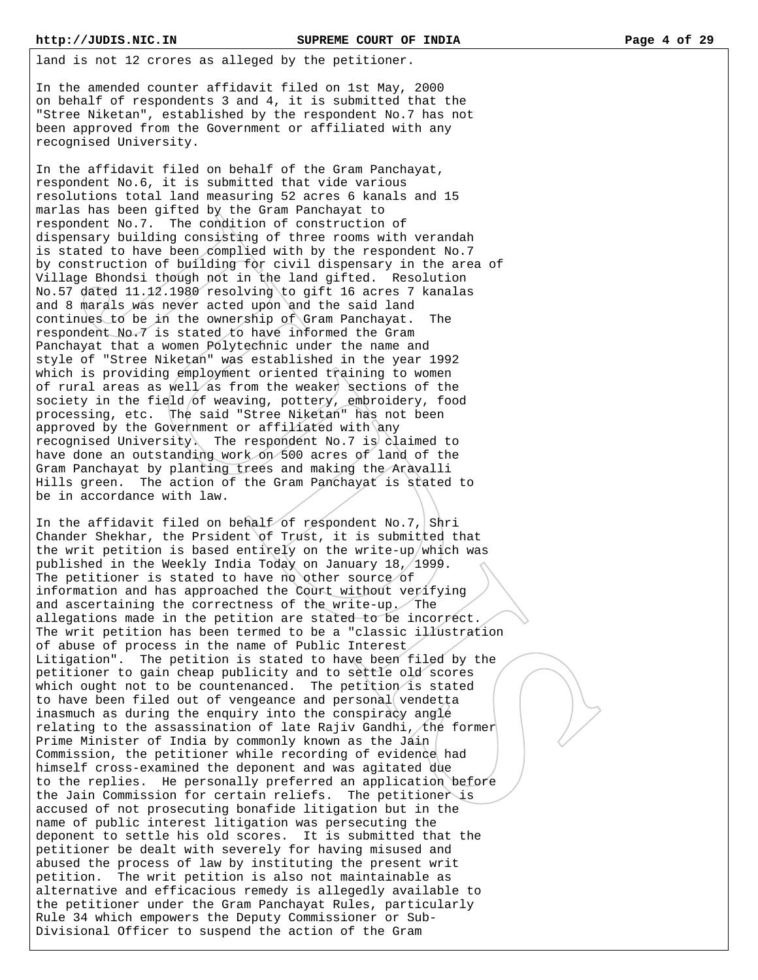land is not 12 crores as alleged by the petitioner.

In the amended counter affidavit filed on 1st May, 2000 on behalf of respondents 3 and 4, it is submitted that the "Stree Niketan", established by the respondent No.7 has not been approved from the Government or affiliated with any recognised University.

In the affidavit filed on behalf of the Gram Panchayat, respondent No.6, it is submitted that vide various resolutions total land measuring 52 acres 6 kanals and 15 marlas has been gifted by the Gram Panchayat to respondent No.7. The condition of construction of dispensary building consisting of three rooms with verandah is stated to have been complied with by the respondent No.7 by construction of building for civil dispensary in the area of Village Bhondsi though not in the land gifted. Resolution No.57 dated 11.12.1980 resolving to gift 16 acres 7 kanalas and 8 marals was never acted upon and the said land continues to be in the ownership of Gram Panchayat. The respondent No.7 is stated to have informed the Gram Panchayat that a women Polytechnic under the name and style of "Stree Niketan" was established in the year 1992 which is providing employment oriented training to women of rural areas as well as from the weaker sections of the society in the field of weaving, pottery, embroidery, food processing, etc. The said "Stree Niketan" has not been approved by the Government or affiliated with any recognised University. The respondent No.7 is claimed to have done an outstanding work on 500 acres of land of the Gram Panchayat by planting trees and making the Aravalli Hills green. The action of the Gram Panchayat is stated to be in accordance with law.

In the affidavit filed on behalf of respondent No.7, Shri Chander Shekhar, the Prsident of Trust, it is submitted that the writ petition is based entirely on the write-up/which was published in the Weekly India Today on January 18, 1999. The petitioner is stated to have no other source of information and has approached the Court without verifying and ascertaining the correctness of the write-up. The allegations made in the petition are stated to be incorrect. The writ petition has been termed to be a "classic illustration of abuse of process in the name of Public Interest Litigation". The petition is stated to have been filed by the petitioner to gain cheap publicity and to settle old scores which ought not to be countenanced. The petition is stated to have been filed out of vengeance and personal vendetta inasmuch as during the enquiry into the conspiracy angle relating to the assassination of late Rajiv Gandhi, the former Prime Minister of India by commonly known as the Jain Commission, the petitioner while recording of evidence had himself cross-examined the deponent and was agitated due to the replies. He personally preferred an application before the Jain Commission for certain reliefs. The petitioner is accused of not prosecuting bonafide litigation but in the name of public interest litigation was persecuting the deponent to settle his old scores. It is submitted that the petitioner be dealt with severely for having misused and abused the process of law by instituting the present writ petition. The writ petition is also not maintainable as alternative and efficacious remedy is allegedly available to the petitioner under the Gram Panchayat Rules, particularly Rule 34 which empowers the Deputy Commissioner or Sub-Divisional Officer to suspend the action of the Gram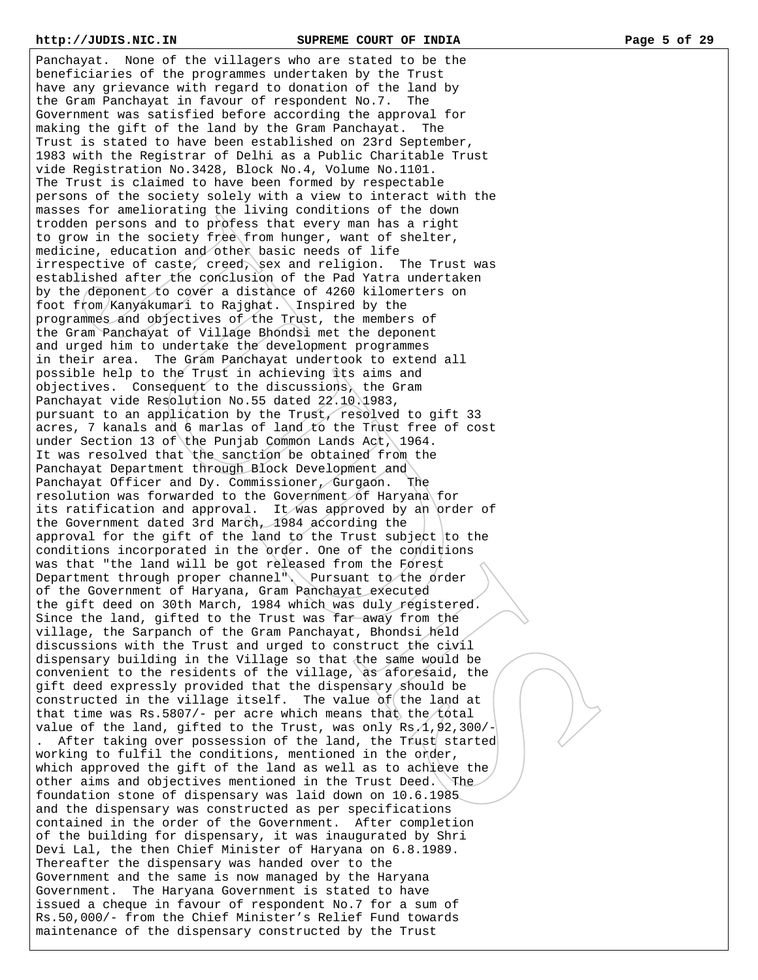Panchayat. None of the villagers who are stated to be the beneficiaries of the programmes undertaken by the Trust have any grievance with regard to donation of the land by the Gram Panchayat in favour of respondent No.7. The Government was satisfied before according the approval for making the gift of the land by the Gram Panchayat. The Trust is stated to have been established on 23rd September, 1983 with the Registrar of Delhi as a Public Charitable Trust vide Registration No.3428, Block No.4, Volume No.1101. The Trust is claimed to have been formed by respectable persons of the society solely with a view to interact with the masses for ameliorating the living conditions of the down trodden persons and to profess that every man has a right to grow in the society free from hunger, want of shelter, medicine, education and other basic needs of life irrespective of caste, creed, sex and religion. The Trust was established after the conclusion of the Pad Yatra undertaken by the deponent to cover a distance of 4260 kilomerters on foot from Kanyakumari to Rajghat. Inspired by the programmes and objectives of the Trust, the members of the Gram Panchayat of Village Bhondsi met the deponent and urged him to undertake the development programmes in their area. The Gram Panchayat undertook to extend all possible help to the Trust in achieving its aims and objectives. Consequent to the discussions, the Gram Panchayat vide Resolution No.55 dated 22.10.1983, pursuant to an application by the Trust, resolved to gift 33 acres, 7 kanals and 6 marlas of land to the Trust free of cost under Section 13 of the Punjab Common Lands Act, 1964. It was resolved that the sanction be obtained from the Panchayat Department through Block Development and Panchayat Officer and Dy. Commissioner, Gurgaon. The resolution was forwarded to the Government of Haryana for its ratification and approval. It was approved by an order of the Government dated 3rd March, 1984 according the approval for the gift of the land to the Trust subject to the conditions incorporated in the order. One of the conditions was that "the land will be got released from the Forest Department through proper channel". Pursuant to the order of the Government of Haryana, Gram Panchayat executed the gift deed on 30th March, 1984 which was duly registered. Since the land, gifted to the Trust was far away from the village, the Sarpanch of the Gram Panchayat, Bhondsi held discussions with the Trust and urged to construct the civil dispensary building in the Village so that the same would be convenient to the residents of the village, as aforesaid, the gift deed expressly provided that the dispensary should be constructed in the village itself. The value of the land at that time was Rs.5807/- per acre which means that the total value of the land, gifted to the Trust, was only  $Rs.1,92,300/-$ After taking over possession of the land, the Trust started working to fulfil the conditions, mentioned in the order, which approved the gift of the land as well as to achieve the other aims and objectives mentioned in the Trust Deed. The foundation stone of dispensary was laid down on 10.6.1985 and the dispensary was constructed as per specifications contained in the order of the Government. After completion of the building for dispensary, it was inaugurated by Shri Devi Lal, the then Chief Minister of Haryana on 6.8.1989. Thereafter the dispensary was handed over to the Government and the same is now managed by the Haryana Government. The Haryana Government is stated to have issued a cheque in favour of respondent No.7 for a sum of Rs.50,000/- from the Chief Minister's Relief Fund towards

maintenance of the dispensary constructed by the Trust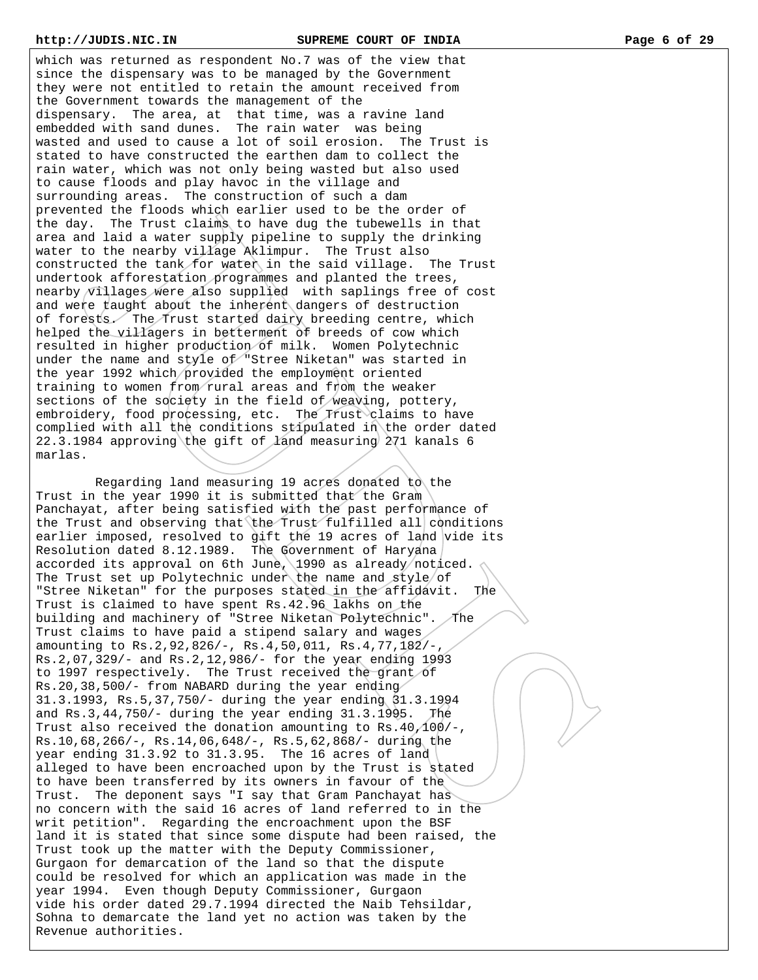which was returned as respondent No.7 was of the view that since the dispensary was to be managed by the Government they were not entitled to retain the amount received from the Government towards the management of the dispensary. The area, at that time, was a ravine land embedded with sand dunes. The rain water was being wasted and used to cause a lot of soil erosion. The Trust is stated to have constructed the earthen dam to collect the rain water, which was not only being wasted but also used to cause floods and play havoc in the village and surrounding areas. The construction of such a dam prevented the floods which earlier used to be the order of the day. The Trust claims to have dug the tubewells in that area and laid a water supply pipeline to supply the drinking water to the nearby village Aklimpur. The Trust also constructed the tank for water in the said village. The Trust undertook afforestation programmes and planted the trees, nearby villages were also supplied with saplings free of cost and were taught about the inherent dangers of destruction of forests. The Trust started dairy breeding centre, which helped the villagers in betterment of breeds of cow which resulted in higher production of milk. Women Polytechnic under the name and style of "Stree Niketan" was started in the year 1992 which provided the employment oriented training to women from rural areas and from the weaker sections of the society in the field of weaving, pottery, embroidery, food processing, etc. The Trust claims to have complied with all the conditions stipulated in the order dated 22.3.1984 approving the gift of land measuring 271 kanals 6 marlas.

 Regarding land measuring 19 acres donated to the Trust in the year 1990 it is submitted that the Gram Panchayat, after being satisfied with the past performance of the Trust and observing that the Trust fulfilled all conditions earlier imposed, resolved to gift the 19 acres of land vide its Resolution dated 8.12.1989. The Government of Haryana accorded its approval on 6th June, 1990 as already noticed. The Trust set up Polytechnic under the name and style/of "Stree Niketan" for the purposes stated in the affidavit. The Trust is claimed to have spent Rs.42.96 lakhs on the building and machinery of "Stree Niketan Polytechnic". The Trust claims to have paid a stipend salary and wages amounting to Rs.2,92,826/-, Rs.4,50,011, Rs.4,77,182/-, Rs.2,07,329/- and Rs.2,12,986/- for the year ending 1993 to 1997 respectively. The Trust received the grant of Rs.20,38,500/- from NABARD during the year ending 31.3.1993, Rs.5,37,750/- during the year ending 31.3.1994 and Rs.3,44,750/- during the year ending 31.3.1995. The Trust also received the donation amounting to Rs.40,100/-, Rs.10,68,266/-, Rs.14,06,648/-, Rs.5,62,868/- during the year ending 31.3.92 to 31.3.95. The 16 acres of land alleged to have been encroached upon by the Trust is stated to have been transferred by its owners in favour of the Trust. The deponent says "I say that Gram Panchayat has no concern with the said 16 acres of land referred to in the writ petition". Regarding the encroachment upon the BSF land it is stated that since some dispute had been raised, the Trust took up the matter with the Deputy Commissioner, Gurgaon for demarcation of the land so that the dispute could be resolved for which an application was made in the year 1994. Even though Deputy Commissioner, Gurgaon vide his order dated 29.7.1994 directed the Naib Tehsildar, Sohna to demarcate the land yet no action was taken by the Revenue authorities.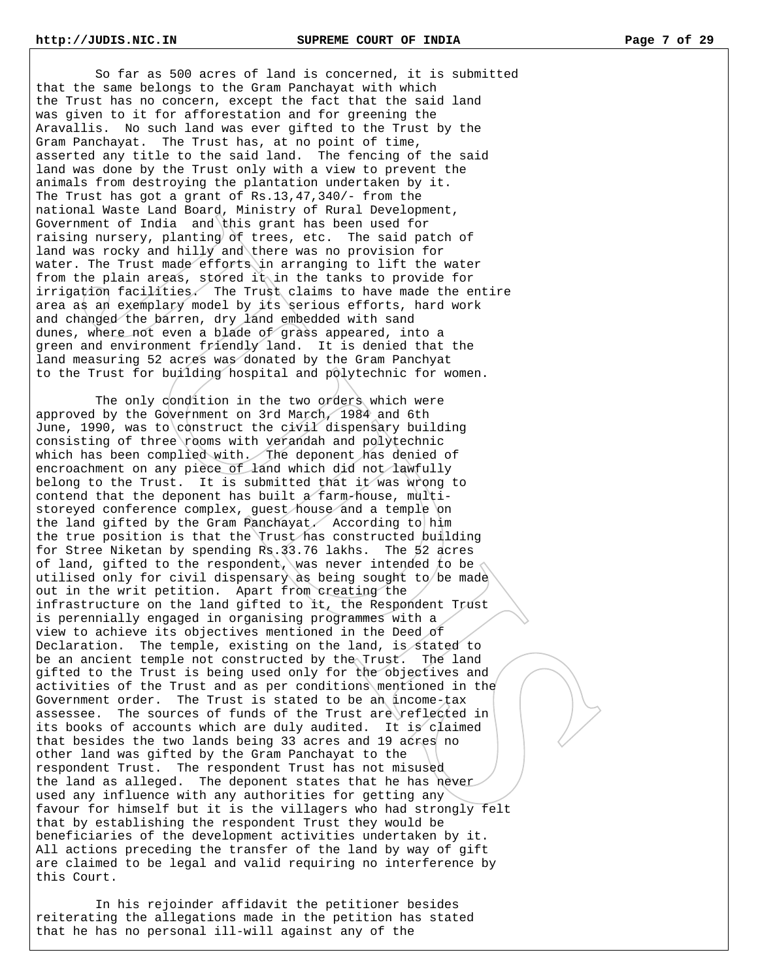So far as 500 acres of land is concerned, it is submitted that the same belongs to the Gram Panchayat with which the Trust has no concern, except the fact that the said land was given to it for afforestation and for greening the Aravallis. No such land was ever gifted to the Trust by the Gram Panchayat. The Trust has, at no point of time, asserted any title to the said land. The fencing of the said land was done by the Trust only with a view to prevent the animals from destroying the plantation undertaken by it. The Trust has got a grant of Rs.13,47,340/- from the national Waste Land Board, Ministry of Rural Development, Government of India and this grant has been used for raising nursery, planting of trees, etc. The said patch of land was rocky and hilly and there was no provision for water. The Trust made efforts in arranging to lift the water from the plain areas, stored it in the tanks to provide for irrigation facilities. The Trust claims to have made the entire area as an exemplary model by its serious efforts, hard work and changed the barren, dry land embedded with sand dunes, where not even a blade of grass appeared, into a green and environment friendly land. It is denied that the land measuring 52 acres was donated by the Gram Panchyat to the Trust for building hospital and polytechnic for women.

The only condition in the two orders which were approved by the Government on 3rd March, 1984 and 6th June, 1990, was to construct the civil dispensary building consisting of three rooms with verandah and polytechnic which has been complied with. The deponent has denied of encroachment on any piece of land which did not lawfully belong to the Trust. It is submitted that it was wrong to contend that the deponent has built a farm-house, multistoreyed conference complex, guest house and a temple on the land gifted by the Gram Panchayat. According to him the true position is that the Trust has constructed building for Stree Niketan by spending Rs.33.76 lakhs. The 52 acres of land, gifted to the respondent, was never intended to be utilised only for civil dispensary as being sought to be made out in the writ petition. Apart from creating the infrastructure on the land gifted to it, the Respondent Trust is perennially engaged in organising programmes with a view to achieve its objectives mentioned in the Deed of Declaration. The temple, existing on the land, is stated to be an ancient temple not constructed by the Trust. The land gifted to the Trust is being used only for the objectives and activities of the Trust and as per conditions mentioned in the Government order. The Trust is stated to be an income-tax assessee. The sources of funds of the Trust are reflected in its books of accounts which are duly audited. It is claimed that besides the two lands being 33 acres and 19 acres no other land was gifted by the Gram Panchayat to the respondent Trust. The respondent Trust has not misused the land as alleged. The deponent states that he has never used any influence with any authorities for getting any favour for himself but it is the villagers who had strongly felt that by establishing the respondent Trust they would be beneficiaries of the development activities undertaken by it. All actions preceding the transfer of the land by way of gift are claimed to be legal and valid requiring no interference by this Court.

 In his rejoinder affidavit the petitioner besides reiterating the allegations made in the petition has stated that he has no personal ill-will against any of the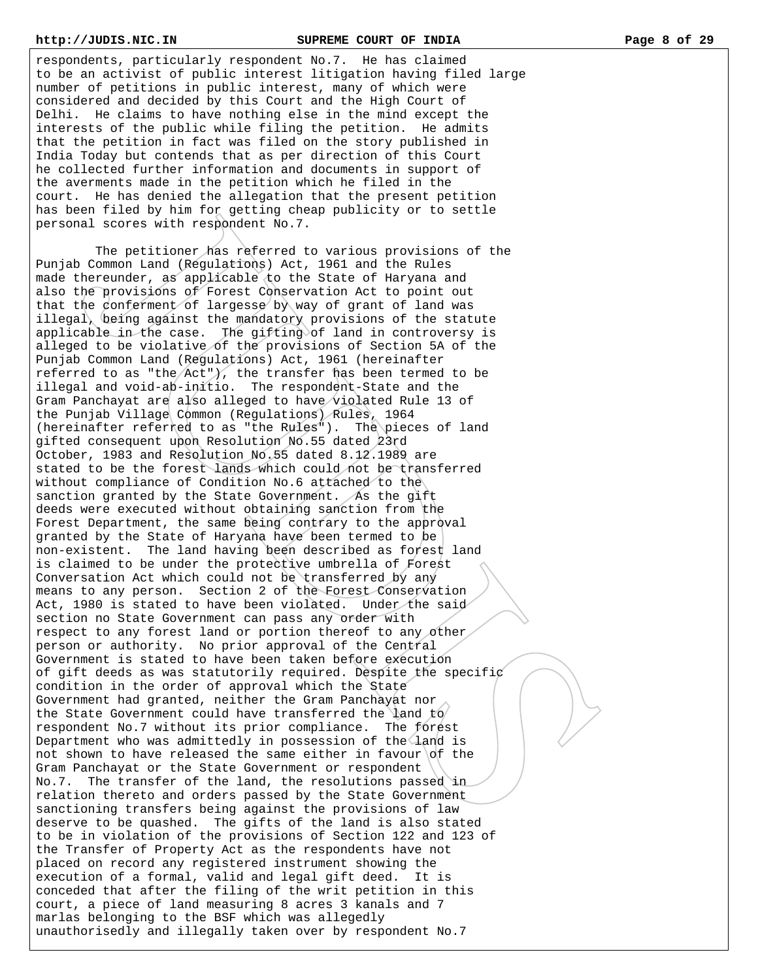respondents, particularly respondent No.7. He has claimed to be an activist of public interest litigation having filed large number of petitions in public interest, many of which were considered and decided by this Court and the High Court of Delhi. He claims to have nothing else in the mind except the interests of the public while filing the petition. He admits that the petition in fact was filed on the story published in India Today but contends that as per direction of this Court he collected further information and documents in support of the averments made in the petition which he filed in the court. He has denied the allegation that the present petition has been filed by him for getting cheap publicity or to settle personal scores with respondent No.7.

 The petitioner has referred to various provisions of the Punjab Common Land (Regulations) Act, 1961 and the Rules made thereunder, as applicable to the State of Haryana and also the provisions of Forest Conservation Act to point out that the conferment of largesse by way of grant of land was illegal, being against the mandatory provisions of the statute applicable in the case. The gifting of land in controversy is alleged to be violative of the provisions of Section 5A of the Punjab Common Land (Regulations) Act, 1961 (hereinafter referred to as "the  $Act$ "), the transfer has been termed to be illegal and void-ab-initio. The respondent-State and the Gram Panchayat are also alleged to have violated Rule 13 of the Punjab Village Common (Regulations) Rules, 1964 (hereinafter referred to as "the Rules"). The pieces of land gifted consequent upon Resolution No.55 dated 23rd October, 1983 and Resolution No.55 dated 8.12.1989 are stated to be the forest lands which could not be transferred without compliance of Condition No.6 attached to the sanction granted by the State Government. As the gift deeds were executed without obtaining sanction from the Forest Department, the same being contrary to the approval granted by the State of Haryana have been termed to be non-existent. The land having been described as forest land is claimed to be under the protective umbrella of Forest Conversation Act which could not be transferred by any means to any person. Section 2 of the Forest Conservation Act, 1980 is stated to have been violated. Under the said section no State Government can pass any order with respect to any forest land or portion thereof to any other person or authority. No prior approval of the Central Government is stated to have been taken before execution of gift deeds as was statutorily required. Despite the specific condition in the order of approval which the State Government had granted, neither the Gram Panchayat nor the State Government could have transferred the land to respondent No.7 without its prior compliance. The forest Department who was admittedly in possession of the land is not shown to have released the same either in favour of the Gram Panchayat or the State Government or respondent No.7. The transfer of the land, the resolutions passed in relation thereto and orders passed by the State Government sanctioning transfers being against the provisions of law deserve to be quashed. The gifts of the land is also stated to be in violation of the provisions of Section 122 and 123 of the Transfer of Property Act as the respondents have not placed on record any registered instrument showing the execution of a formal, valid and legal gift deed. It is conceded that after the filing of the writ petition in this court, a piece of land measuring 8 acres 3 kanals and 7 marlas belonging to the BSF which was allegedly unauthorisedly and illegally taken over by respondent No.7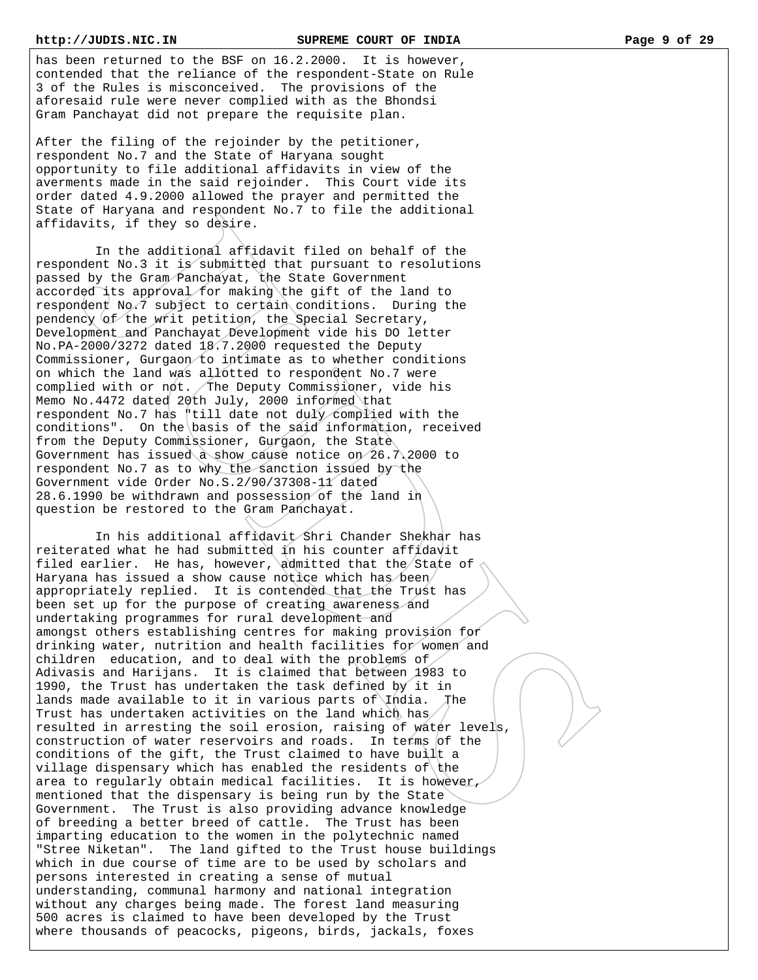has been returned to the BSF on 16.2.2000. It is however, contended that the reliance of the respondent-State on Rule 3 of the Rules is misconceived. The provisions of the aforesaid rule were never complied with as the Bhondsi Gram Panchayat did not prepare the requisite plan.

After the filing of the rejoinder by the petitioner, respondent No.7 and the State of Haryana sought opportunity to file additional affidavits in view of the averments made in the said rejoinder. This Court vide its order dated 4.9.2000 allowed the prayer and permitted the State of Haryana and respondent No.7 to file the additional affidavits, if they so desire.

 In the additional affidavit filed on behalf of the respondent No.3 it is submitted that pursuant to resolutions passed by the Gram Panchayat, the State Government accorded its approval for making the gift of the land to respondent No.7 subject to certain conditions. During the pendency of the writ petition, the Special Secretary, Development and Panchayat Development vide his DO letter No.PA-2000/3272 dated 18.7.2000 requested the Deputy Commissioner, Gurgaon to intimate as to whether conditions on which the land was allotted to respondent No.7 were complied with or not. The Deputy Commissioner, vide his Memo No.4472 dated 20th July, 2000 informed that respondent No.7 has "till date not duly complied with the conditions". On the basis of the said information, received from the Deputy Commissioner, Gurgaon, the State Government has issued a show cause notice on 26.7.2000 to respondent No.7 as to why the sanction issued by the Government vide Order No.S.2/90/37308-11 dated 28.6.1990 be withdrawn and possession of the land in question be restored to the Gram Panchayat.

 In his additional affidavit Shri Chander Shekhar has reiterated what he had submitted in his counter affidavit filed earlier. He has, however, admitted that the State of Haryana has issued a show cause notice which has been appropriately replied. It is contended that the Trust has been set up for the purpose of creating awareness and undertaking programmes for rural development and amongst others establishing centres for making provision for drinking water, nutrition and health facilities for women and children education, and to deal with the problems of Adivasis and Harijans. It is claimed that between 1983 to 1990, the Trust has undertaken the task defined by it in lands made available to it in various parts of  $\theta$ . The Trust has undertaken activities on the land which has resulted in arresting the soil erosion, raising of water levels, construction of water reservoirs and roads. In terms of the conditions of the gift, the Trust claimed to have built a village dispensary which has enabled the residents of the area to regularly obtain medical facilities. It is however, mentioned that the dispensary is being run by the State Government. The Trust is also providing advance knowledge of breeding a better breed of cattle. The Trust has been imparting education to the women in the polytechnic named "Stree Niketan". The land gifted to the Trust house buildings which in due course of time are to be used by scholars and persons interested in creating a sense of mutual understanding, communal harmony and national integration without any charges being made. The forest land measuring 500 acres is claimed to have been developed by the Trust where thousands of peacocks, pigeons, birds, jackals, foxes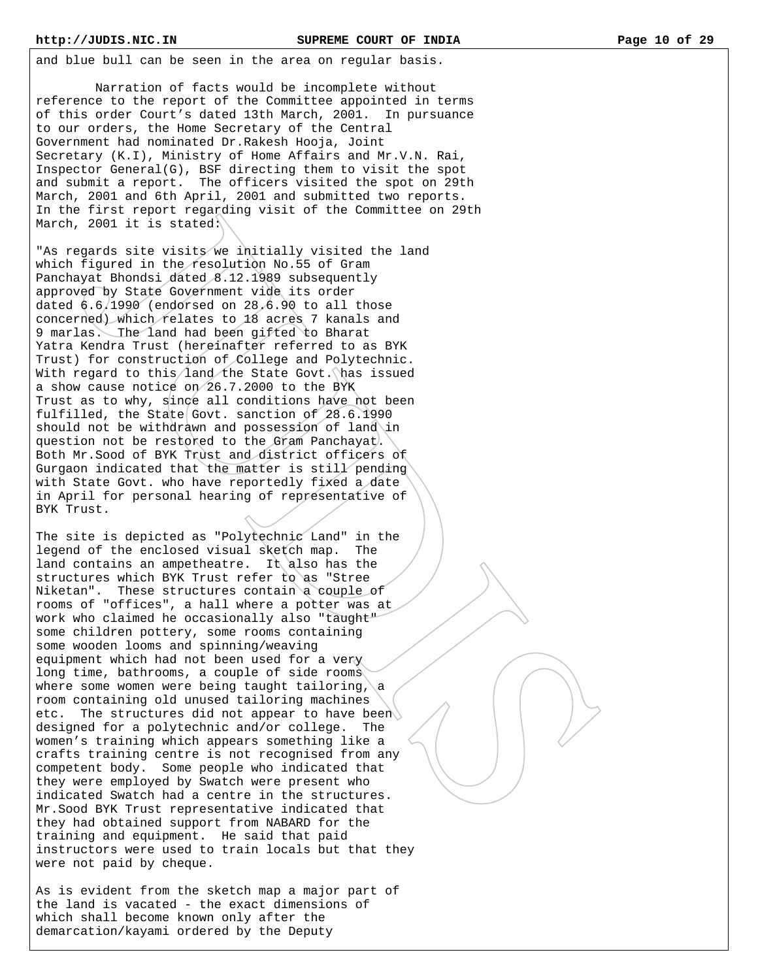and blue bull can be seen in the area on regular basis.

 Narration of facts would be incomplete without reference to the report of the Committee appointed in terms of this order Court's dated 13th March, 2001. In pursuance to our orders, the Home Secretary of the Central Government had nominated Dr.Rakesh Hooja, Joint Secretary (K.I), Ministry of Home Affairs and Mr.V.N. Rai, Inspector General(G), BSF directing them to visit the spot and submit a report. The officers visited the spot on 29th March, 2001 and 6th April, 2001 and submitted two reports. In the first report regarding visit of the Committee on 29th March, 2001 it is stated:

"As regards site visits we initially visited the land which figured in the resolution No.55 of Gram Panchayat Bhondsi dated 8.12.1989 subsequently approved by State Government vide its order dated 6.6.1990 (endorsed on 28.6.90 to all those concerned) which relates to 18 acres 7 kanals and 9 marlas. The land had been gifted to Bharat Yatra Kendra Trust (hereinafter referred to as BYK Trust) for construction of College and Polytechnic. With regard to this/land the State Govt. has issued a show cause notice on 26.7.2000 to the BYK Trust as to why, since all conditions have not been fulfilled, the State Govt. sanction of 28.6.1990 should not be withdrawn and possession of land in question not be restored to the Gram Panchayat. Both Mr.Sood of BYK Trust and district officers of Gurgaon indicated that the matter is still pending with State Govt. who have reportedly fixed a date in April for personal hearing of representative of BYK Trust.

The site is depicted as "Polytechnic Land" in the legend of the enclosed visual sketch map. The land contains an ampetheatre. It also has the structures which BYK Trust refer to as "Stree Niketan". These structures contain a couple of rooms of "offices", a hall where a potter was at work who claimed he occasionally also "taught" some children pottery, some rooms containing some wooden looms and spinning/weaving equipment which had not been used for a very long time, bathrooms, a couple of side rooms where some women were being taught tailoring,  $\alpha$ room containing old unused tailoring machines etc. The structures did not appear to have been designed for a polytechnic and/or college. The women's training which appears something like a crafts training centre is not recognised from any competent body. Some people who indicated that they were employed by Swatch were present who indicated Swatch had a centre in the structures. Mr.Sood BYK Trust representative indicated that they had obtained support from NABARD for the training and equipment. He said that paid instructors were used to train locals but that they were not paid by cheque.

As is evident from the sketch map a major part of the land is vacated - the exact dimensions of which shall become known only after the demarcation/kayami ordered by the Deputy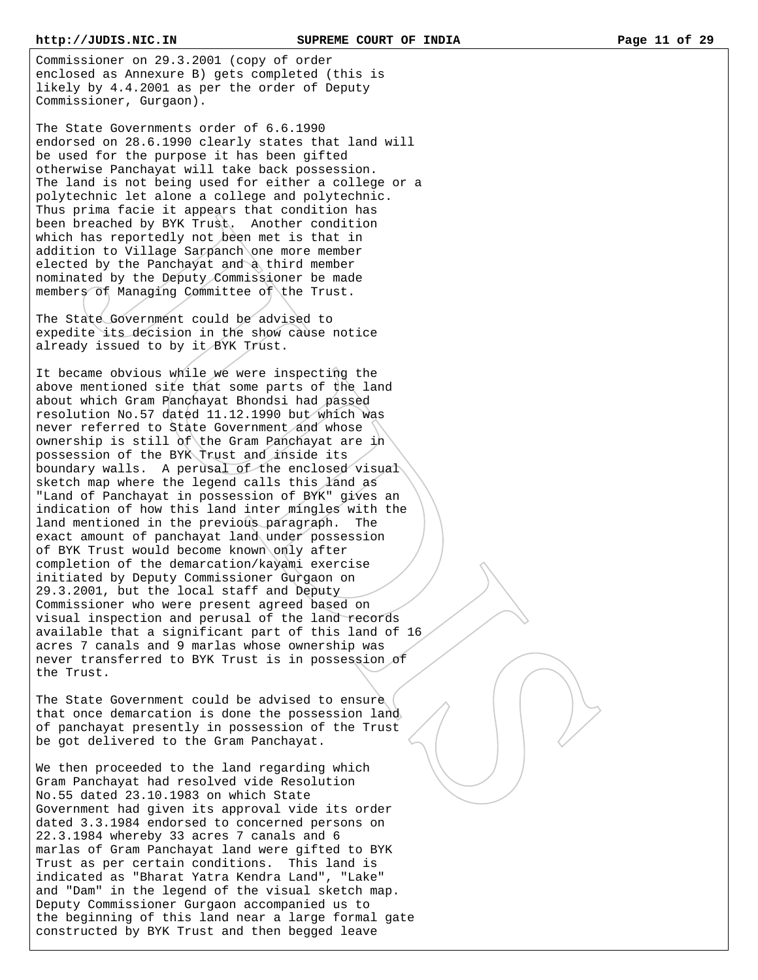Commissioner on 29.3.2001 (copy of order enclosed as Annexure B) gets completed (this is likely by 4.4.2001 as per the order of Deputy Commissioner, Gurgaon).

The State Governments order of 6.6.1990 endorsed on 28.6.1990 clearly states that land will be used for the purpose it has been gifted otherwise Panchayat will take back possession. The land is not being used for either a college or a polytechnic let alone a college and polytechnic. Thus prima facie it appears that condition has been breached by BYK Trust. Another condition which has reportedly not been met is that in addition to Village Sarpanch one more member elected by the Panchayat and a third member nominated by the Deputy Commissioner be made members of Managing Committee of the Trust.

The State Government could be advised to expedite its decision in the show cause notice already issued to by it BYK Trust.

It became obvious while we were inspecting the above mentioned site that some parts of the land about which Gram Panchayat Bhondsi had passed resolution No.57 dated 11.12.1990 but which was never referred to State Government and whose ownership is still of the Gram Panchayat are in possession of the BYK Trust and inside its boundary walls. A perusal of the enclosed visual sketch map where the legend calls this land as "Land of Panchayat in possession of BYK" gives an indication of how this land inter mingles with the land mentioned in the previous paragraph. The exact amount of panchayat land under possession of BYK Trust would become known only after completion of the demarcation/kayami exercise initiated by Deputy Commissioner Gurgaon on 29.3.2001, but the local staff and Deputy Commissioner who were present agreed based on visual inspection and perusal of the land records available that a significant part of this land of 16 acres 7 canals and 9 marlas whose ownership was never transferred to BYK Trust is in possession of the Trust.

The State Government could be advised to ensure that once demarcation is done the possession land of panchayat presently in possession of the Trust be got delivered to the Gram Panchayat.

We then proceeded to the land regarding which Gram Panchayat had resolved vide Resolution No.55 dated 23.10.1983 on which State Government had given its approval vide its order dated 3.3.1984 endorsed to concerned persons on 22.3.1984 whereby 33 acres 7 canals and 6 marlas of Gram Panchayat land were gifted to BYK Trust as per certain conditions. This land is indicated as "Bharat Yatra Kendra Land", "Lake" and "Dam" in the legend of the visual sketch map. Deputy Commissioner Gurgaon accompanied us to the beginning of this land near a large formal gate constructed by BYK Trust and then begged leave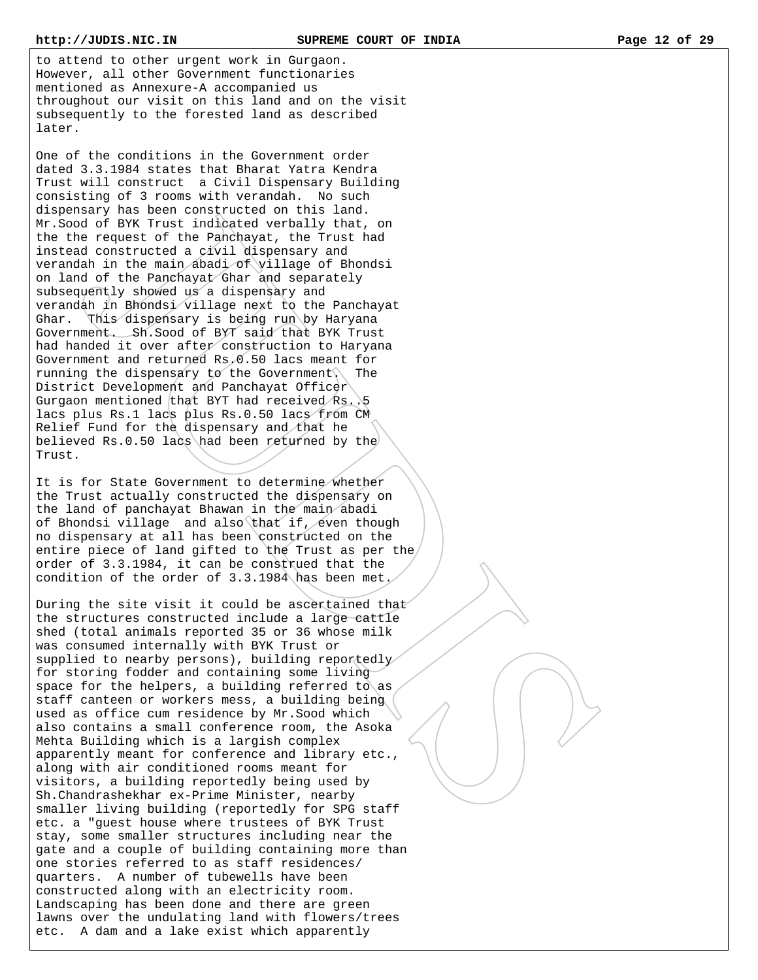to attend to other urgent work in Gurgaon. However, all other Government functionaries mentioned as Annexure-A accompanied us throughout our visit on this land and on the visit subsequently to the forested land as described later.

One of the conditions in the Government order dated 3.3.1984 states that Bharat Yatra Kendra Trust will construct a Civil Dispensary Building consisting of 3 rooms with verandah. No such dispensary has been constructed on this land. Mr.Sood of BYK Trust indicated verbally that, on the the request of the Panchayat, the Trust had instead constructed a civil dispensary and verandah in the main abadi of village of Bhondsi on land of the Panchayat Ghar and separately subsequently showed us a dispensary and verandah in Bhondsi village next to the Panchayat Ghar. This dispensary is being run by Haryana Government. Sh.Sood of BYT said that BYK Trust had handed it over after construction to Haryana Government and returned Rs.0.50 lacs meant for running the dispensary to the Government. The District Development and Panchayat Officer Gurgaon mentioned that BYT had received Rs. 5 lacs plus Rs.1 lacs plus Rs.0.50 lacs from CM Relief Fund for the dispensary and that he believed Rs.0.50 lacs had been returned by the Trust.

It is for State Government to determine whether the Trust actually constructed the dispensary on the land of panchayat Bhawan in the main abadi of Bhondsi village and also that if, even though no dispensary at all has been constructed on the entire piece of land gifted to the Trust as per the order of 3.3.1984, it can be construed that the condition of the order of 3.3.1984 has been met.

During the site visit it could be ascertained that the structures constructed include a large cattle shed (total animals reported 35 or 36 whose milk was consumed internally with BYK Trust or supplied to nearby persons), building reportedly for storing fodder and containing some living space for the helpers, a building referred to as staff canteen or workers mess, a building being used as office cum residence by Mr.Sood which also contains a small conference room, the Asoka Mehta Building which is a largish complex apparently meant for conference and library etc., along with air conditioned rooms meant for visitors, a building reportedly being used by Sh.Chandrashekhar ex-Prime Minister, nearby smaller living building (reportedly for SPG staff etc. a "guest house where trustees of BYK Trust stay, some smaller structures including near the gate and a couple of building containing more than one stories referred to as staff residences/ quarters. A number of tubewells have been constructed along with an electricity room. Landscaping has been done and there are green lawns over the undulating land with flowers/trees etc. A dam and a lake exist which apparently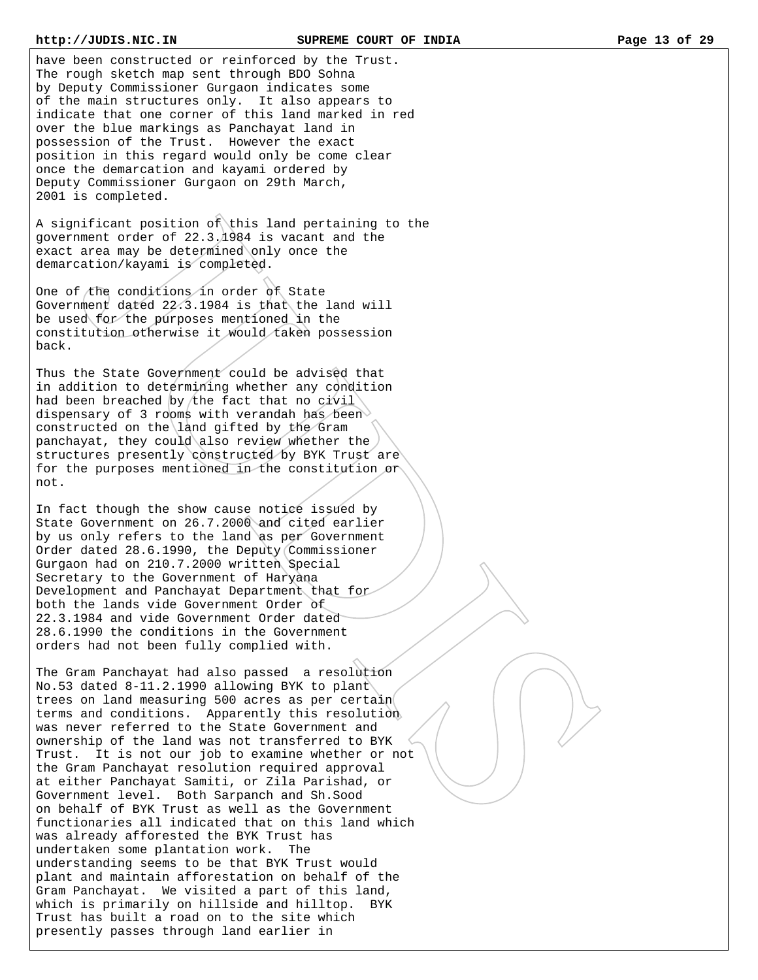have been constructed or reinforced by the Trust. The rough sketch map sent through BDO Sohna by Deputy Commissioner Gurgaon indicates some of the main structures only. It also appears to indicate that one corner of this land marked in red over the blue markings as Panchayat land in possession of the Trust. However the exact position in this regard would only be come clear once the demarcation and kayami ordered by Deputy Commissioner Gurgaon on 29th March, 2001 is completed.

A significant position of this land pertaining to the government order of 22.3.1984 is vacant and the exact area may be determined only once the demarcation/kayami is completed.

One of the conditions in order of State Government dated 22.3.1984 is that the land will be used for the purposes mentioned in the constitution otherwise it would taken possession back.

Thus the State Government could be advised that in addition to determining whether any condition had been breached by the fact that no civil dispensary of 3 rooms with verandah has been constructed on the land gifted by the Gram panchayat, they could also review whether the structures presently constructed by BYK Trust are for the purposes mentioned in the constitution or not.

In fact though the show cause notice issued by State Government on 26.7.2000 and cited earlier by us only refers to the land as per Government Order dated 28.6.1990, the Deputy Commissioner Gurgaon had on 210.7.2000 written Special Secretary to the Government of Haryana Development and Panchayat Department that for both the lands vide Government Order of 22.3.1984 and vide Government Order dated 28.6.1990 the conditions in the Government orders had not been fully complied with.

The Gram Panchayat had also passed a resolution No.53 dated 8-11.2.1990 allowing BYK to plant trees on land measuring 500 acres as per certain terms and conditions. Apparently this resolution was never referred to the State Government and ownership of the land was not transferred to BYK Trust. It is not our job to examine whether or not the Gram Panchayat resolution required approval at either Panchayat Samiti, or Zila Parishad, or Government level. Both Sarpanch and Sh.Sood on behalf of BYK Trust as well as the Government functionaries all indicated that on this land which was already afforested the BYK Trust has undertaken some plantation work. The understanding seems to be that BYK Trust would plant and maintain afforestation on behalf of the Gram Panchayat. We visited a part of this land, which is primarily on hillside and hilltop. Trust has built a road on to the site which presently passes through land earlier in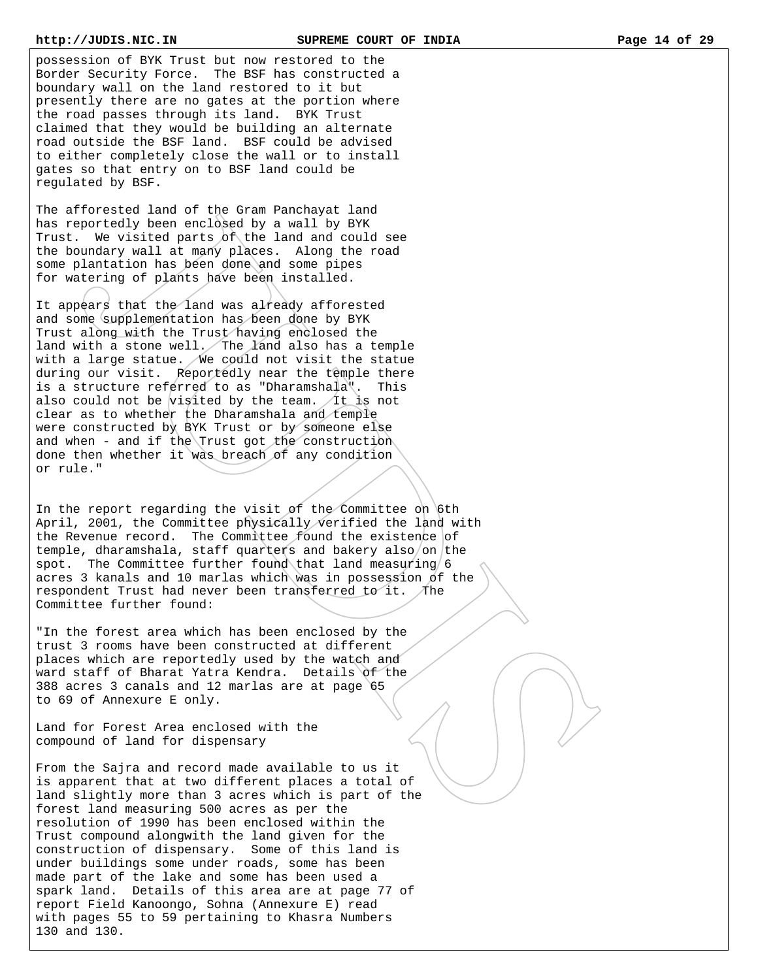possession of BYK Trust but now restored to the Border Security Force. The BSF has constructed a boundary wall on the land restored to it but presently there are no gates at the portion where the road passes through its land. BYK Trust claimed that they would be building an alternate road outside the BSF land. BSF could be advised to either completely close the wall or to install gates so that entry on to BSF land could be regulated by BSF.

The afforested land of the Gram Panchayat land has reportedly been enclosed by a wall by BYK Trust. We visited parts of the land and could see the boundary wall at many places. Along the road some plantation has been done and some pipes for watering of plants have been installed.

It appears that the land was already afforested and some supplementation has been done by BYK Trust along with the Trust having enclosed the land with a stone well. The  $\chi$  and also has a temple with a large statue. We could not visit the statue during our visit. Reportedly near the temple there is a structure referred to as "Dharamshala". This also could not be visited by the team. It is not clear as to whether the Dharamshala and temple were constructed by BYK Trust or by someone else and when - and if the Trust got the construction done then whether it was breach of any condition or rule."

In the report regarding the visit of the Committee on 6th April, 2001, the Committee physically verified the land with the Revenue record. The Committee found the existence of temple, dharamshala, staff quarters and bakery also/on the spot. The Committee further found that land measuring  $/6$ acres 3 kanals and 10 marlas which was in possession of the respondent Trust had never been transferred to it. The Committee further found:

"In the forest area which has been enclosed by the trust 3 rooms have been constructed at different places which are reportedly used by the watch and ward staff of Bharat Yatra Kendra. Details of the 388 acres 3 canals and 12 marlas are at page 65 to 69 of Annexure E only.

Land for Forest Area enclosed with the compound of land for dispensary

From the Sajra and record made available to us it is apparent that at two different places a total of land slightly more than 3 acres which is part of the forest land measuring 500 acres as per the resolution of 1990 has been enclosed within the Trust compound alongwith the land given for the construction of dispensary. Some of this land is under buildings some under roads, some has been made part of the lake and some has been used a spark land. Details of this area are at page 77 of report Field Kanoongo, Sohna (Annexure E) read with pages 55 to 59 pertaining to Khasra Numbers 130 and 130.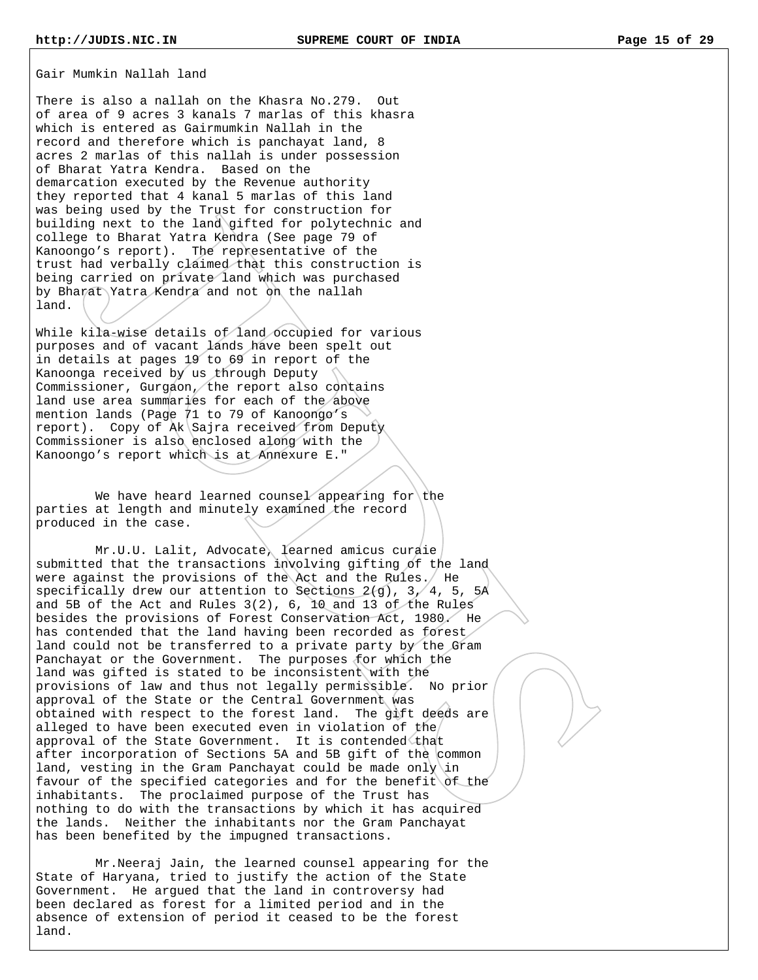Gair Mumkin Nallah land

There is also a nallah on the Khasra No.279. Out of area of 9 acres 3 kanals 7 marlas of this khasra which is entered as Gairmumkin Nallah in the record and therefore which is panchayat land, 8 acres 2 marlas of this nallah is under possession of Bharat Yatra Kendra. Based on the demarcation executed by the Revenue authority they reported that 4 kanal 5 marlas of this land was being used by the Trust for construction for building next to the land gifted for polytechnic and college to Bharat Yatra Kendra (See page 79 of Kanoongo's report). The representative of the trust had verbally claimed that this construction is being carried on private land which was purchased by Bharat Yatra Kendra and not on the nallah land.

While kila-wise details of land occupied for various purposes and of vacant lands have been spelt out in details at pages 19 to 69 in report of the Kanoonga received by us through Deputy Commissioner, Gurgaon, the report also contains land use area summaries for each of the above mention lands (Page 71 to 79 of Kanoongo's report). Copy of Ak Sajra received from Deputy Commissioner is also enclosed along with the Kanoongo's report which is at Annexure E."

We have heard learned counsel appearing for the parties at length and minutely examined the record produced in the case.

 Mr.U.U. Lalit, Advocate, learned amicus curaie submitted that the transactions involving gifting of the land were against the provisions of the Act and the Rules. He specifically drew our attention to Sections  $2(g)$ ,  $3/4$ , 5,  $5A$ and 5B of the Act and Rules 3(2), 6, 10 and 13 of the Rules besides the provisions of Forest Conservation Act, 1980. He has contended that the land having been recorded as forest land could not be transferred to a private party by the Gram Panchayat or the Government. The purposes for which the land was gifted is stated to be inconsistent with the provisions of law and thus not legally permissible. No prior approval of the State or the Central Government was obtained with respect to the forest land. The gift deeds are alleged to have been executed even in violation of the approval of the State Government. It is contended that after incorporation of Sections 5A and 5B gift of the common land, vesting in the Gram Panchayat could be made only in favour of the specified categories and for the benefit of the inhabitants. The proclaimed purpose of the Trust has nothing to do with the transactions by which it has acquired the lands. Neither the inhabitants nor the Gram Panchayat has been benefited by the impugned transactions.

 Mr.Neeraj Jain, the learned counsel appearing for the State of Haryana, tried to justify the action of the State Government. He argued that the land in controversy had been declared as forest for a limited period and in the absence of extension of period it ceased to be the forest land.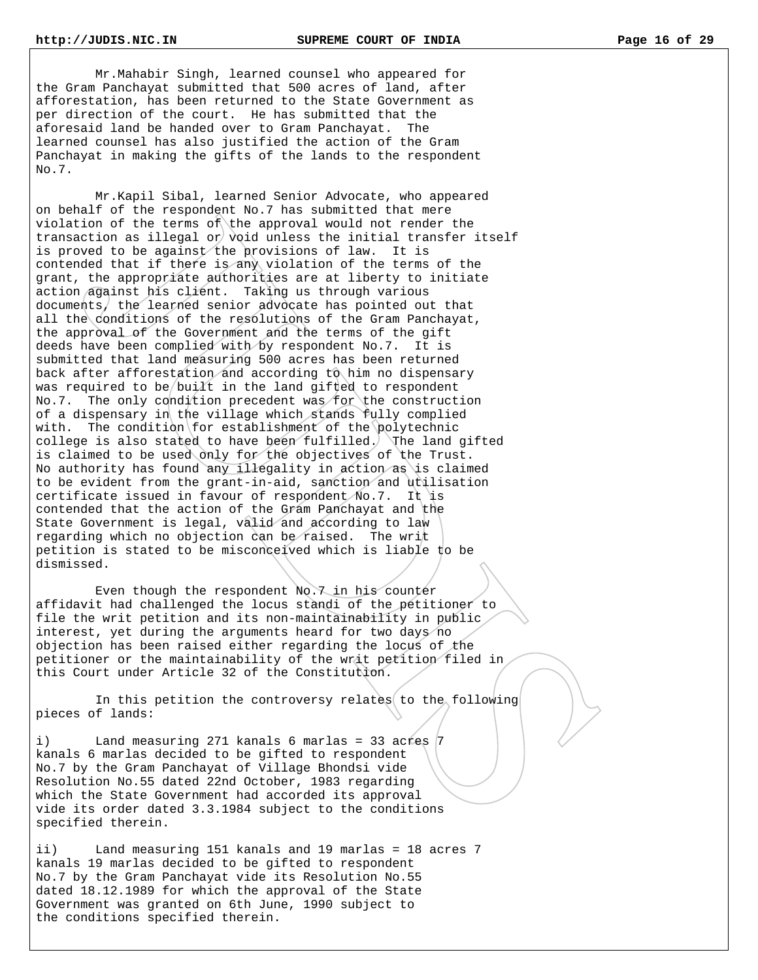Mr.Mahabir Singh, learned counsel who appeared for the Gram Panchayat submitted that 500 acres of land, after afforestation, has been returned to the State Government as per direction of the court. He has submitted that the aforesaid land be handed over to Gram Panchayat. The learned counsel has also justified the action of the Gram Panchayat in making the gifts of the lands to the respondent No.7.

 Mr.Kapil Sibal, learned Senior Advocate, who appeared on behalf of the respondent No.7 has submitted that mere violation of the terms of the approval would not render the transaction as illegal or void unless the initial transfer itself is proved to be against the provisions of law. It is contended that if there is any violation of the terms of the grant, the appropriate authorities are at liberty to initiate action against his client. Taking us through various documents, the learned senior advocate has pointed out that all the conditions of the resolutions of the Gram Panchayat, the approval of the Government and the terms of the gift deeds have been complied with by respondent No.7. It is submitted that land measuring 500 acres has been returned back after afforestation and according to him no dispensary was required to be/built in the land gifted to respondent No.7. The only condition precedent was for the construction of a dispensary in the village which stands fully complied with. The condition for establishment of the polytechnic college is also stated to have been fulfilled. The land gifted is claimed to be used only for the objectives of the Trust. No authority has found any illegality in action as is claimed to be evident from the grant-in-aid, sanction and utilisation certificate issued in favour of respondent No.7. It is contended that the action of the Gram Panchayat and the State Government is legal, valid and according to law regarding which no objection can be raised. The writ petition is stated to be misconceived which is liable to be dismissed.

 Even though the respondent No.7 in his counter affidavit had challenged the locus standi of the petitioner to file the writ petition and its non-maintainability in public interest, yet during the arguments heard for two days no objection has been raised either regarding the locus of the petitioner or the maintainability of the writ petition filed in this Court under Article 32 of the Constitution.

In this petition the controversy relates to the following pieces of lands:

i) Land measuring 271 kanals 6 marlas = 33 acres 7 kanals 6 marlas decided to be gifted to respondent No.7 by the Gram Panchayat of Village Bhondsi vide Resolution No.55 dated 22nd October, 1983 regarding which the State Government had accorded its approval vide its order dated 3.3.1984 subject to the conditions specified therein.

ii) Land measuring 151 kanals and 19 marlas = 18 acres 7 kanals 19 marlas decided to be gifted to respondent No.7 by the Gram Panchayat vide its Resolution No.55 dated 18.12.1989 for which the approval of the State Government was granted on 6th June, 1990 subject to the conditions specified therein.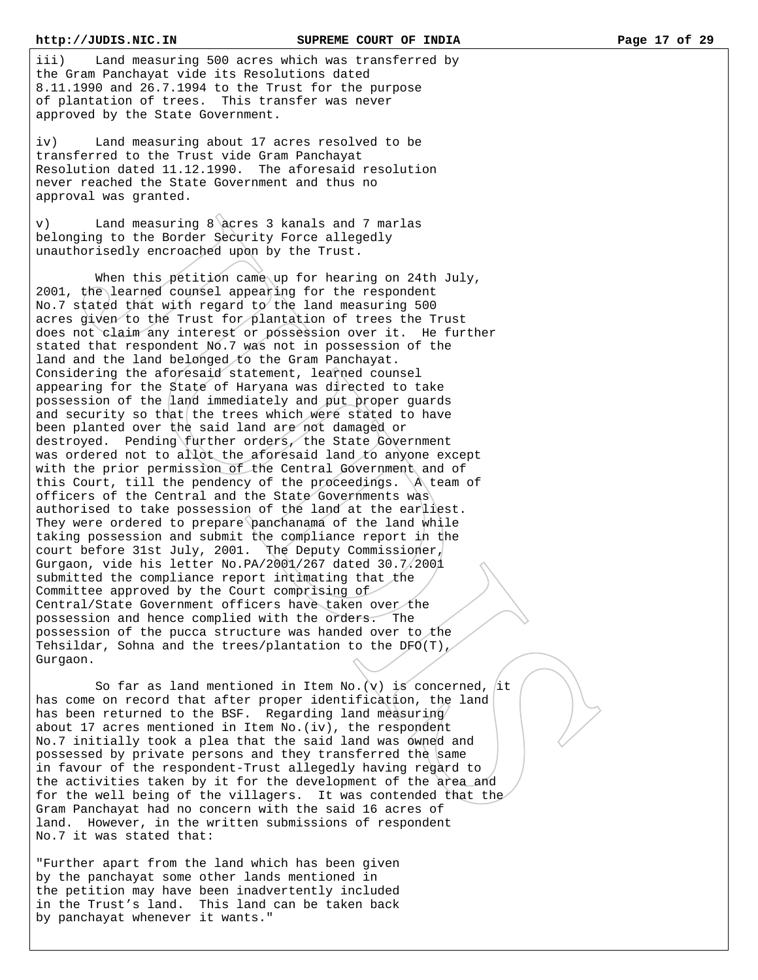iii) Land measuring 500 acres which was transferred by the Gram Panchayat vide its Resolutions dated 8.11.1990 and 26.7.1994 to the Trust for the purpose of plantation of trees. This transfer was never approved by the State Government.

iv) Land measuring about 17 acres resolved to be transferred to the Trust vide Gram Panchayat Resolution dated 11.12.1990. The aforesaid resolution never reached the State Government and thus no approval was granted.

v) Land measuring 8 acres 3 kanals and 7 marlas belonging to the Border Security Force allegedly unauthorisedly encroached upon by the Trust.

When this petition came up for hearing on 24th July, 2001, the learned counsel appearing for the respondent No.7 stated that with regard to the land measuring 500 acres given to the Trust for plantation of trees the Trust does not claim any interest or possession over it. He further stated that respondent No.7 was not in possession of the land and the land belonged to the Gram Panchayat. Considering the aforesaid statement, learned counsel appearing for the State of Haryana was directed to take possession of the land immediately and put proper guards and security so that the trees which were stated to have been planted over the said land are not damaged or destroyed. Pending further orders, the State Government was ordered not to allot the aforesaid land to anyone except with the prior permission of the Central Government and of this Court, till the pendency of the proceedings.  $\mathcal{A}$  team of officers of the Central and the State Governments was authorised to take possession of the land at the earliest. They were ordered to prepare panchanama of the land while taking possession and submit the compliance report in the court before 31st July, 2001. The Deputy Commissioner, Gurgaon, vide his letter No.PA/2001/267 dated 30.7.2001 submitted the compliance report intimating that the Committee approved by the Court comprising of Central/State Government officers have taken over the possession and hence complied with the orders. The possession of the pucca structure was handed over to the Tehsildar, Sohna and the trees/plantation to the DFO(T), Gurgaon.

So far as land mentioned in Item No. (v) is concerned, it has come on record that after proper identification, the land has been returned to the BSF. Regarding land measuring about 17 acres mentioned in Item No.(iv), the respondent No.7 initially took a plea that the said land was owned and possessed by private persons and they transferred the same in favour of the respondent-Trust allegedly having regard to the activities taken by it for the development of the area and for the well being of the villagers. It was contended that the Gram Panchayat had no concern with the said 16 acres of land. However, in the written submissions of respondent No.7 it was stated that:

"Further apart from the land which has been given by the panchayat some other lands mentioned in the petition may have been inadvertently included in the Trust's land. This land can be taken back by panchayat whenever it wants."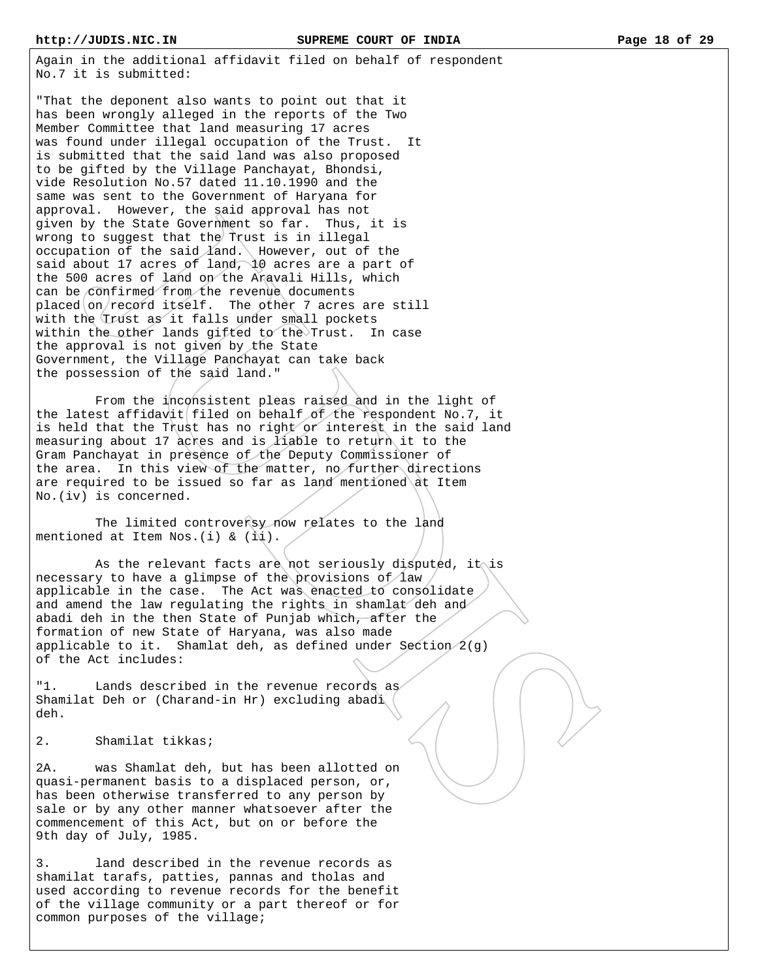Again in the additional affidavit filed on behalf of respondent No.7 it is submitted:

"That the deponent also wants to point out that it has been wrongly alleged in the reports of the Two Member Committee that land measuring 17 acres was found under illegal occupation of the Trust. It is submitted that the said land was also proposed to be gifted by the Village Panchayat, Bhondsi, vide Resolution No.57 dated 11.10.1990 and the same was sent to the Government of Haryana for approval. However, the said approval has not given by the State Government so far. Thus, it is wrong to suggest that the Trust is in illegal occupation of the said land. However, out of the said about 17 acres of land, 10 acres are a part of the 500 acres of land on the Aravali Hills, which can be confirmed from the revenue documents placed on record itself. The other 7 acres are still with the Trust as it falls under small pockets within the other lands gifted to the Trust. In case the approval is not given by the State Government, the Village Panchayat can take back the possession of the said land."

 From the inconsistent pleas raised and in the light of the latest affidavit filed on behalf of the respondent No.7, it is held that the Trust has no right or interest in the said land measuring about 17 acres and is *liable to return* it to the Gram Panchayat in presence of the Deputy Commissioner of the area. In this view of the matter, no further directions are required to be issued so far as land mentioned at Item No.(iv) is concerned.

The limited controversy now relates to the land mentioned at Item Nos. (i) &  $(i)$ .

As the relevant facts are not seriously disputed, it is necessary to have a glimpse of the provisions of law applicable in the case. The Act was enacted to consolidate and amend the law regulating the rights in shamlat deh and abadi deh in the then State of Punjab which, after the formation of new State of Haryana, was also made applicable to it. Shamlat deh, as defined under Section  $2(g)$ of the Act includes:

"1. Lands described in the revenue records as Shamilat Deh or (Charand-in Hr) excluding abadi deh.

2. Shamilat tikkas;

2A. was Shamlat deh, but has been allotted on quasi-permanent basis to a displaced person, or, has been otherwise transferred to any person by sale or by any other manner whatsoever after the commencement of this Act, but on or before the 9th day of July, 1985.

3. land described in the revenue records as shamilat tarafs, patties, pannas and tholas and used according to revenue records for the benefit of the village community or a part thereof or for common purposes of the village;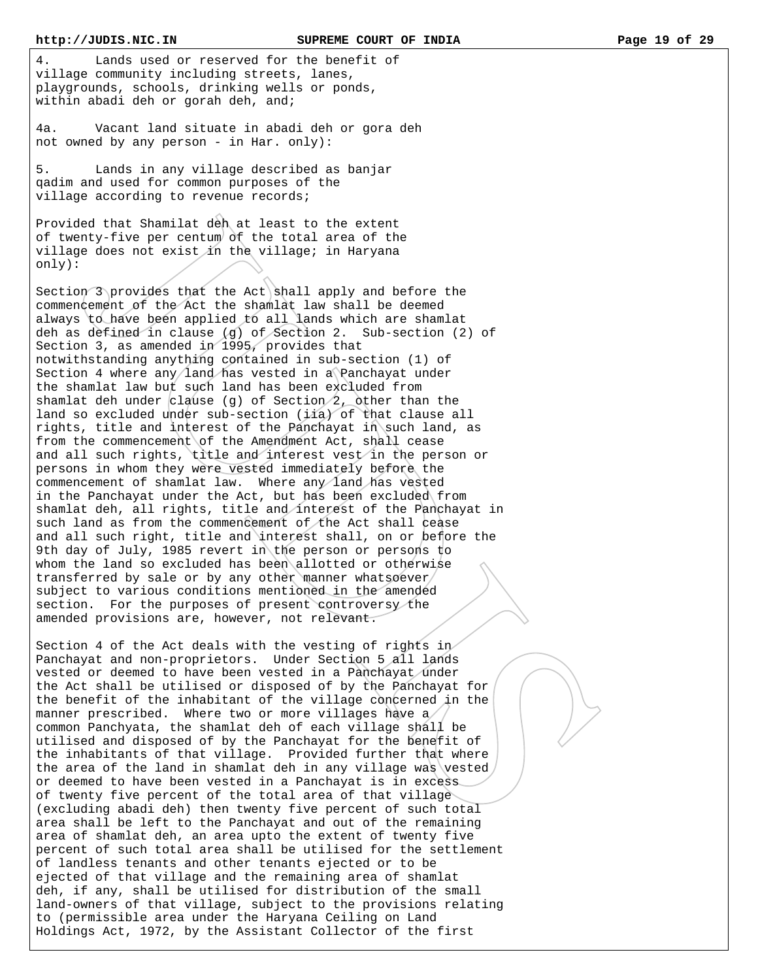4. Lands used or reserved for the benefit of village community including streets, lanes, playgrounds, schools, drinking wells or ponds, within abadi deh or gorah deh, and;

4a. Vacant land situate in abadi deh or gora deh not owned by any person - in Har. only):

5. Lands in any village described as banjar qadim and used for common purposes of the village according to revenue records;

Provided that Shamilat deh at least to the extent of twenty-five per centum of the total area of the village does not exist in the village; in Haryana only):

Section  $3$  provides that the Act shall apply and before the commencement of the Act the shamlat law shall be deemed always to have been applied to all lands which are shamlat deh as defined in clause (g) of Section 2. Sub-section (2) of Section 3, as amended in 1995, provides that notwithstanding anything contained in sub-section (1) of Section 4 where any/land has vested in a Panchayat under the shamlat law but such land has been excluded from shamlat deh under clause (g) of Section  $2$ , other than the land so excluded under sub-section (iia) of that clause all rights, title and interest of the Panchayat in such land, as from the commencement of the Amendment Act, shall cease and all such rights, title and interest vest in the person or persons in whom they were vested immediately before the commencement of shamlat law. Where any land has vested in the Panchayat under the Act, but has been excluded from shamlat deh, all rights, title and interest of the Panchayat in such land as from the commencement of the Act shall cease and all such right, title and interest shall, on or before the 9th day of July, 1985 revert in the person or persons to whom the land so excluded has been allotted or otherwise transferred by sale or by any other manner whatsoever subject to various conditions mentioned in the amended section. For the purposes of present controversy the amended provisions are, however, not relevant.

Section 4 of the Act deals with the vesting of rights in Panchayat and non-proprietors. Under Section 5 all lands vested or deemed to have been vested in a Panchayat under the Act shall be utilised or disposed of by the Panchayat for the benefit of the inhabitant of the village concerned in the manner prescribed. Where two or more villages have a common Panchyata, the shamlat deh of each village shall be utilised and disposed of by the Panchayat for the benefit of the inhabitants of that village. Provided further that where the area of the land in shamlat deh in any village was vested or deemed to have been vested in a Panchayat is in excess of twenty five percent of the total area of that village (excluding abadi deh) then twenty five percent of such total area shall be left to the Panchayat and out of the remaining area of shamlat deh, an area upto the extent of twenty five percent of such total area shall be utilised for the settlement of landless tenants and other tenants ejected or to be ejected of that village and the remaining area of shamlat deh, if any, shall be utilised for distribution of the small land-owners of that village, subject to the provisions relating to (permissible area under the Haryana Ceiling on Land Holdings Act, 1972, by the Assistant Collector of the first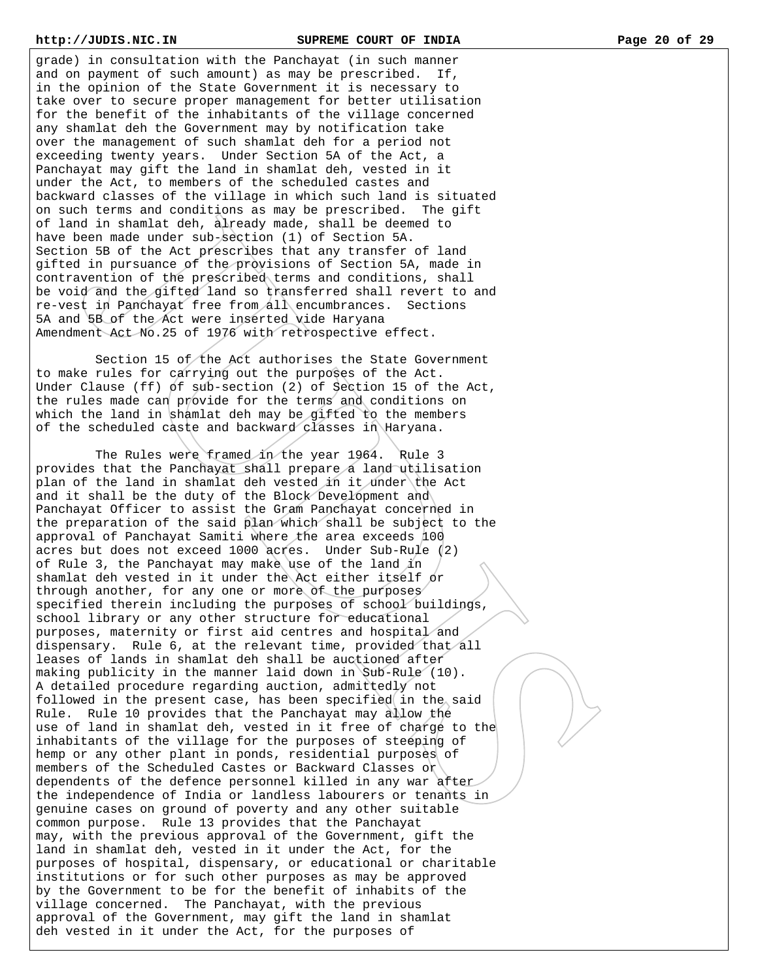grade) in consultation with the Panchayat (in such manner and on payment of such amount) as may be prescribed. If, in the opinion of the State Government it is necessary to take over to secure proper management for better utilisation for the benefit of the inhabitants of the village concerned any shamlat deh the Government may by notification take over the management of such shamlat deh for a period not exceeding twenty years. Under Section 5A of the Act, a Panchayat may gift the land in shamlat deh, vested in it under the Act, to members of the scheduled castes and backward classes of the village in which such land is situated on such terms and conditions as may be prescribed. The gift of land in shamlat deh, already made, shall be deemed to have been made under sub-section (1) of Section 5A. Section 5B of the Act prescribes that any transfer of land gifted in pursuance of the provisions of Section 5A, made in contravention of the prescribed terms and conditions, shall be void and the gifted land so transferred shall revert to and re-vest in Panchayat free from all encumbrances. Sections 5A and 5B of the Act were inserted vide Haryana Amendment Act No.25 of 1976 with retrospective effect.

Section 15 of the Act authorises the State Government to make rules for carrying out the purposes of the Act. Under Clause (ff) of sub-section (2) of Section 15 of the Act, the rules made can provide for the terms and conditions on which the land in shamlat deh may be gifted to the members of the scheduled caste and backward classes in Haryana.

 The Rules were framed in the year 1964. Rule 3 provides that the Panchayat shall prepare a land utilisation plan of the land in shamlat deh vested in it under the Act and it shall be the duty of the Block Development and Panchayat Officer to assist the Gram Panchayat concerned in the preparation of the said plan which shall be subject to the approval of Panchayat Samiti where the area exceeds 100 acres but does not exceed 1000 acres. Under Sub-Rule (2) of Rule 3, the Panchayat may make use of the land in shamlat deh vested in it under the Act either itself or through another, for any one or more of the purposes specified therein including the purposes of school buildings, school library or any other structure for educational purposes, maternity or first aid centres and hospital and dispensary. Rule 6, at the relevant time, provided that all leases of lands in shamlat deh shall be auctioned after making publicity in the manner laid down in Sub-Rule (10). A detailed procedure regarding auction, admittedly not followed in the present case, has been specified in the said Rule. Rule 10 provides that the Panchayat may allow the use of land in shamlat deh, vested in it free of charge to the inhabitants of the village for the purposes of steeping of hemp or any other plant in ponds, residential purposes of members of the Scheduled Castes or Backward Classes or dependents of the defence personnel killed in any war after the independence of India or landless labourers or tenants in genuine cases on ground of poverty and any other suitable common purpose. Rule 13 provides that the Panchayat may, with the previous approval of the Government, gift the land in shamlat deh, vested in it under the Act, for the purposes of hospital, dispensary, or educational or charitable institutions or for such other purposes as may be approved by the Government to be for the benefit of inhabits of the village concerned. The Panchayat, with the previous approval of the Government, may gift the land in shamlat deh vested in it under the Act, for the purposes of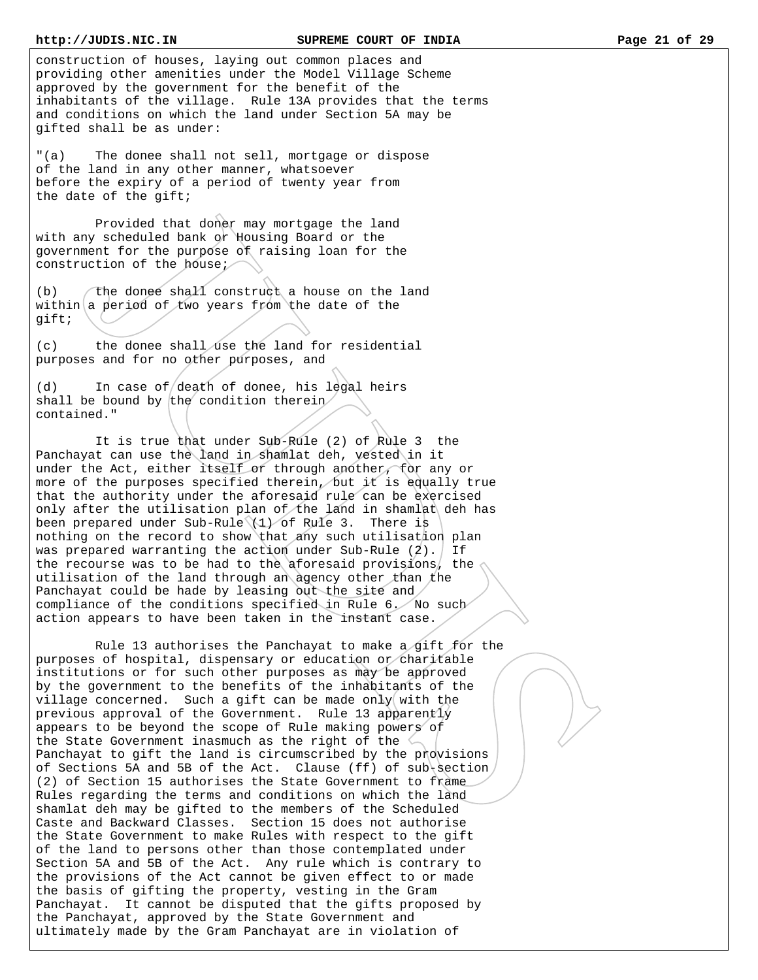construction of houses, laying out common places and providing other amenities under the Model Village Scheme approved by the government for the benefit of the inhabitants of the village. Rule 13A provides that the terms and conditions on which the land under Section 5A may be gifted shall be as under:

"(a) The donee shall not sell, mortgage or dispose of the land in any other manner, whatsoever before the expiry of a period of twenty year from the date of the gift;

 Provided that doner may mortgage the land with any scheduled bank or Housing Board or the government for the purpose of raising loan for the construction of the house;

(b)  $\int$  the donee shall construct a house on the land within a period of  $f$  wo years from the date of the gift;

(c) the donee shall use the land for residential purposes and for no other purposes, and

(d) In case of death of donee, his legal heirs shall be bound by the condition therein contained."

 It is true that under Sub-Rule (2) of Rule 3 the Panchayat can use the land in shamlat deh, vested in it under the Act, either itself or through another, for any or more of the purposes specified therein, but it is equally true that the authority under the aforesaid rule can be exercised only after the utilisation plan of the land in shamlat deh has been prepared under Sub-Rule (1) of Rule 3. There is nothing on the record to show that any such utilisation plan was prepared warranting the action under Sub-Rule  $(2)$ . If the recourse was to be had to the aforesaid provisions, the utilisation of the land through an agency other than the Panchayat could be hade by leasing out the site and compliance of the conditions specified in Rule 6. No such action appears to have been taken in the instant case.

 Rule 13 authorises the Panchayat to make a gift for the purposes of hospital, dispensary or education or charitable institutions or for such other purposes as may be approved by the government to the benefits of the inhabitants of the village concerned. Such a gift can be made only with the previous approval of the Government. Rule 13 apparently appears to be beyond the scope of Rule making powers of the State Government inasmuch as the right of the  $\Diamond$ Panchayat to gift the land is circumscribed by the provisions of Sections 5A and 5B of the Act. Clause (ff) of sub-section, (2) of Section 15 authorises the State Government to frame Rules regarding the terms and conditions on which the land shamlat deh may be gifted to the members of the Scheduled Caste and Backward Classes. Section 15 does not authorise the State Government to make Rules with respect to the gift of the land to persons other than those contemplated under Section 5A and 5B of the Act. Any rule which is contrary to the provisions of the Act cannot be given effect to or made the basis of gifting the property, vesting in the Gram Panchayat. It cannot be disputed that the gifts proposed by the Panchayat, approved by the State Government and ultimately made by the Gram Panchayat are in violation of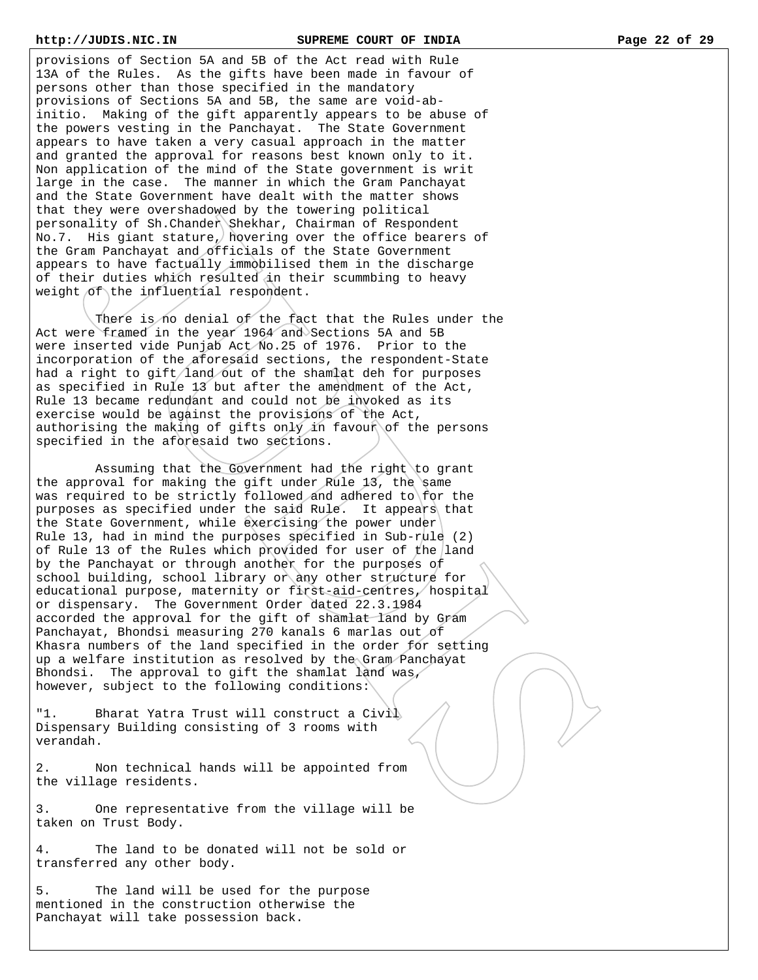provisions of Section 5A and 5B of the Act read with Rule 13A of the Rules. As the gifts have been made in favour of persons other than those specified in the mandatory provisions of Sections 5A and 5B, the same are void-abinitio. Making of the gift apparently appears to be abuse of the powers vesting in the Panchayat. The State Government appears to have taken a very casual approach in the matter and granted the approval for reasons best known only to it. Non application of the mind of the State government is writ large in the case. The manner in which the Gram Panchayat and the State Government have dealt with the matter shows that they were overshadowed by the towering political personality of Sh.Chander Shekhar, Chairman of Respondent No.7. His giant stature, hovering over the office bearers of the Gram Panchayat and officials of the State Government appears to have factually immobilised them in the discharge of their duties which resulted in their scummbing to heavy weight of the influential respondent.

There is no denial of the fact that the Rules under the Act were framed in the year 1964 and Sections 5A and 5B were inserted vide Punjab Act No.25 of 1976. Prior to the incorporation of the aforesaid sections, the respondent-State had a right to gift/land out of the shamlat deh for purposes as specified in Rule 13 but after the amendment of the Act, Rule 13 became redundant and could not be invoked as its exercise would be against the provisions of the Act, authorising the making of gifts only in favour of the persons specified in the aforesaid two sections.

 Assuming that the Government had the right to grant the approval for making the gift under Rule 13, the same was required to be strictly followed and adhered to for the purposes as specified under the said Rule. It appears that the State Government, while exercising the power under Rule 13, had in mind the purposes specified in Sub-rule  $(2)$ of Rule 13 of the Rules which provided for user of the land by the Panchayat or through another for the purposes of school building, school library or any other structure for educational purpose, maternity or first-aid-centres, hospital or dispensary. The Government Order dated 22.3.1984 accorded the approval for the gift of shamlat land by Gram Panchayat, Bhondsi measuring 270 kanals 6 marlas out of Khasra numbers of the land specified in the order for setting up a welfare institution as resolved by the Gram Panchayat Bhondsi. The approval to gift the shamlat land was, however, subject to the following conditions:

"1. Bharat Yatra Trust will construct a Civil Dispensary Building consisting of 3 rooms with verandah.

2. Non technical hands will be appointed from the village residents.

3. One representative from the village will be taken on Trust Body.

4. The land to be donated will not be sold or transferred any other body.

5. The land will be used for the purpose mentioned in the construction otherwise the Panchayat will take possession back.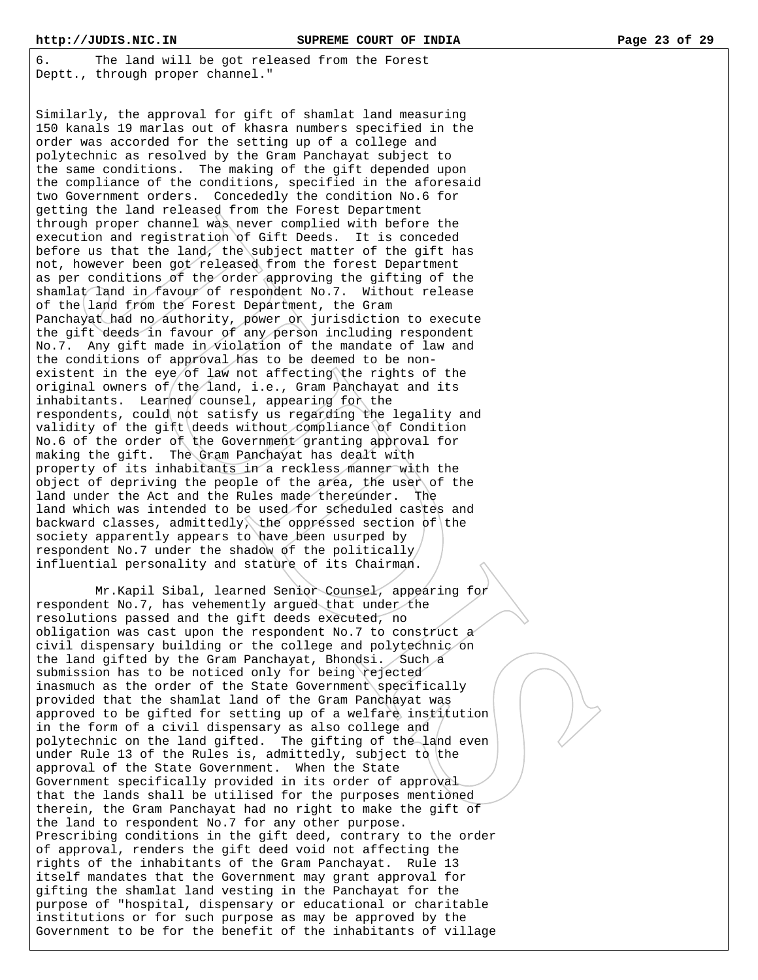6. The land will be got released from the Forest Deptt., through proper channel."

Similarly, the approval for gift of shamlat land measuring 150 kanals 19 marlas out of khasra numbers specified in the order was accorded for the setting up of a college and polytechnic as resolved by the Gram Panchayat subject to the same conditions. The making of the gift depended upon the compliance of the conditions, specified in the aforesaid two Government orders. Concededly the condition No.6 for getting the land released from the Forest Department through proper channel was never complied with before the execution and registration of Gift Deeds. It is conceded before us that the land, the subject matter of the gift has not, however been got released from the forest Department as per conditions of the order approving the gifting of the shamlat land in favour of respondent No.7. Without release of the land from the Forest Department, the Gram Panchayat had no authority, power or jurisdiction to execute the gift deeds in favour of any person including respondent No.7. Any gift made in violation of the mandate of law and the conditions of approval has to be deemed to be nonexistent in the eye/of law not affecting the rights of the original owners of  $th$ e land, i.e., Gram Panchayat and its inhabitants. Learned counsel, appearing for the respondents, could not satisfy us regarding the legality and validity of the gift deeds without compliance of Condition No.6 of the order of the Government granting approval for making the gift. The Gram Panchayat has dealt with property of its inhabitants in a reckless manner with the object of depriving the people of the area, the user of the land under the Act and the Rules made thereunder. The land which was intended to be used for scheduled castes and backward classes, admittedly, the oppressed section of the society apparently appears to have been usurped by respondent No.7 under the shadow of the politically influential personality and stature of its Chairman.

 Mr.Kapil Sibal, learned Senior Counsel, appearing for respondent No.7, has vehemently argued that under the resolutions passed and the gift deeds executed, no obligation was cast upon the respondent No.7 to construct a civil dispensary building or the college and polytechnic on the land gifted by the Gram Panchayat, Bhondsi. Such a submission has to be noticed only for being rejected inasmuch as the order of the State Government specifically provided that the shamlat land of the Gram Panchayat was approved to be gifted for setting up of a welfare institution in the form of a civil dispensary as also college and polytechnic on the land gifted. The gifting of the land even under Rule 13 of the Rules is, admittedly, subject to the approval of the State Government. When the State Government specifically provided in its order of approval that the lands shall be utilised for the purposes mentioned therein, the Gram Panchayat had no right to make the gift of the land to respondent No.7 for any other purpose. Prescribing conditions in the gift deed, contrary to the order of approval, renders the gift deed void not affecting the rights of the inhabitants of the Gram Panchayat. Rule 13 itself mandates that the Government may grant approval for gifting the shamlat land vesting in the Panchayat for the purpose of "hospital, dispensary or educational or charitable institutions or for such purpose as may be approved by the Government to be for the benefit of the inhabitants of village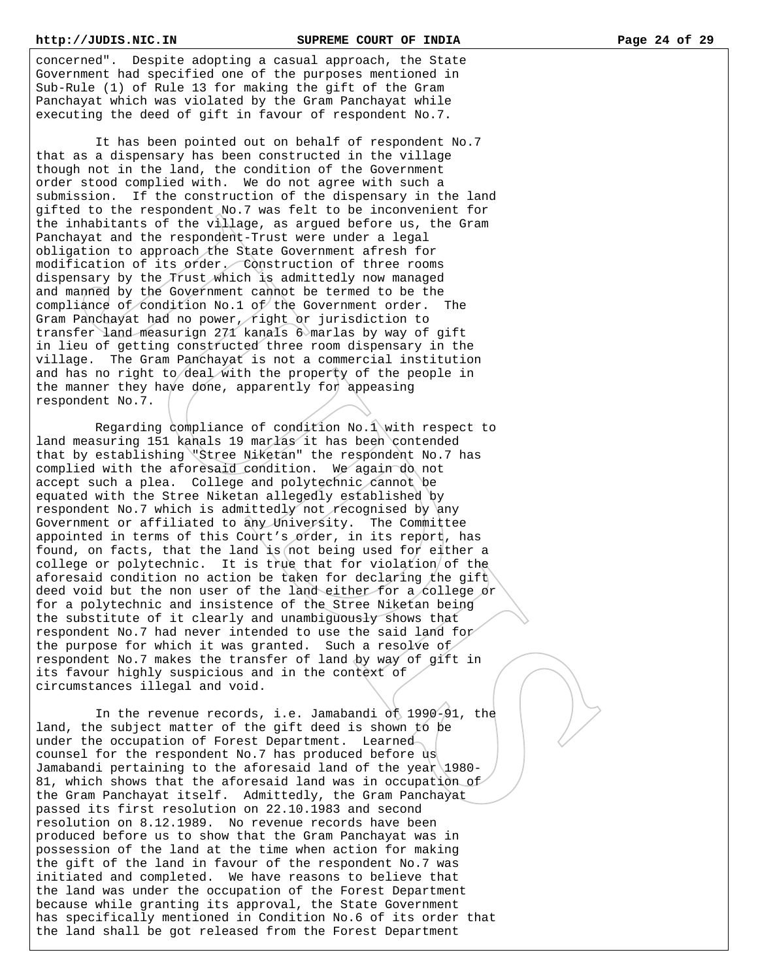concerned". Despite adopting a casual approach, the State Government had specified one of the purposes mentioned in Sub-Rule (1) of Rule 13 for making the gift of the Gram Panchayat which was violated by the Gram Panchayat while executing the deed of gift in favour of respondent No.7.

 It has been pointed out on behalf of respondent No.7 that as a dispensary has been constructed in the village though not in the land, the condition of the Government order stood complied with. We do not agree with such a submission. If the construction of the dispensary in the land gifted to the respondent No.7 was felt to be inconvenient for the inhabitants of the village, as argued before us, the Gram Panchayat and the respondent-Trust were under a legal obligation to approach the State Government afresh for modification of its order. Construction of three rooms dispensary by the Trust which is admittedly now managed and manned by the Government cannot be termed to be the compliance of condition No.1 of the Government order. The Gram Panchayat had no power, right or jurisdiction to transfer land measurign 271 kanals 6 marlas by way of gift in lieu of getting constructed three room dispensary in the village. The Gram Panchayat is not a commercial institution and has no right to deal with the property of the people in the manner they have done, apparently for appeasing respondent No.7.

 Regarding compliance of condition No.1 with respect to land measuring 151 kanals 19 marlas it has been contended that by establishing "Stree Niketan" the respondent No.7 has complied with the aforesaid condition. We again do not accept such a plea. College and polytechnic cannot be equated with the Stree Niketan allegedly established by respondent No.7 which is admittedly not recognised by any Government or affiliated to any University. The Committee appointed in terms of this Court's order, in its report, has found, on facts, that the land is not being used for either a college or polytechnic. It is true that for violation of the aforesaid condition no action be taken for declaring the gift deed void but the non user of the land either for a college or for a polytechnic and insistence of the Stree Niketan being the substitute of it clearly and unambiguously shows that respondent No.7 had never intended to use the said land for the purpose for which it was granted. Such a resolve of respondent No.7 makes the transfer of land by way of gift in its favour highly suspicious and in the context of circumstances illegal and void.

 In the revenue records, i.e. Jamabandi of 1990-91, the land, the subject matter of the gift deed is shown to be under the occupation of Forest Department. Learned counsel for the respondent No.7 has produced before us Jamabandi pertaining to the aforesaid land of the year 1980- 81, which shows that the aforesaid land was in occupation of the Gram Panchayat itself. Admittedly, the Gram Panchayat passed its first resolution on 22.10.1983 and second resolution on 8.12.1989. No revenue records have been produced before us to show that the Gram Panchayat was in possession of the land at the time when action for making the gift of the land in favour of the respondent No.7 was initiated and completed. We have reasons to believe that the land was under the occupation of the Forest Department because while granting its approval, the State Government has specifically mentioned in Condition No.6 of its order that the land shall be got released from the Forest Department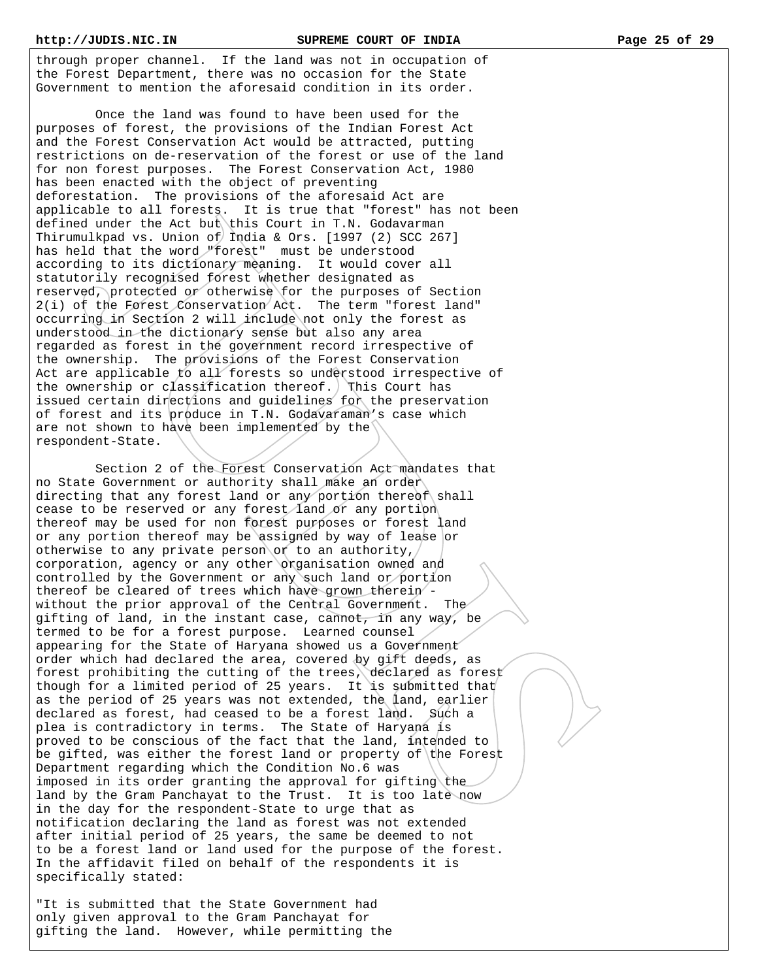through proper channel. If the land was not in occupation of the Forest Department, there was no occasion for the State Government to mention the aforesaid condition in its order.

 Once the land was found to have been used for the purposes of forest, the provisions of the Indian Forest Act and the Forest Conservation Act would be attracted, putting restrictions on de-reservation of the forest or use of the land for non forest purposes. The Forest Conservation Act, 1980 has been enacted with the object of preventing deforestation. The provisions of the aforesaid Act are applicable to all forests. It is true that "forest" has not been defined under the Act but this Court in T.N. Godavarman Thirumulkpad vs. Union of India & Ors. [1997 (2) SCC 267] has held that the word "forest" must be understood according to its dictionary meaning. It would cover all statutorily recognised forest whether designated as reserved, protected or otherwise for the purposes of Section 2(i) of the Forest Conservation Act. The term "forest land" occurring in Section 2 will include not only the forest as understood in the dictionary sense but also any area regarded as forest in the government record irrespective of the ownership. The provisions of the Forest Conservation Act are applicable to all forests so understood irrespective of the ownership or classification thereof. This Court has issued certain directions and guidelines for the preservation of forest and its produce in T.N. Godavaraman's case which are not shown to have been implemented by the respondent-State.

 Section 2 of the Forest Conservation Act mandates that no State Government or authority shall make an order directing that any forest land or any portion thereof shall cease to be reserved or any forest land or any portion thereof may be used for non forest purposes or forest land or any portion thereof may be assigned by way of lease or otherwise to any private person or to an authority, corporation, agency or any other organisation owned and controlled by the Government or any such land or portion thereof be cleared of trees which have grown therein without the prior approval of the Central Government. The gifting of land, in the instant case, cannot, in any way, be termed to be for a forest purpose. Learned counsel appearing for the State of Haryana showed us a Government order which had declared the area, covered by gift deeds, as forest prohibiting the cutting of the trees, declared as forest though for a limited period of 25 years. It is submitted that as the period of 25 years was not extended, the land, earlier declared as forest, had ceased to be a forest land. Such a plea is contradictory in terms. The State of Haryana is proved to be conscious of the fact that the land, intended to be gifted, was either the forest land or property of the Forest Department regarding which the Condition No.6 was imposed in its order granting the approval for gifting the land by the Gram Panchayat to the Trust. It is too late now in the day for the respondent-State to urge that as notification declaring the land as forest was not extended after initial period of 25 years, the same be deemed to not to be a forest land or land used for the purpose of the forest. In the affidavit filed on behalf of the respondents it is specifically stated:

"It is submitted that the State Government had only given approval to the Gram Panchayat for gifting the land. However, while permitting the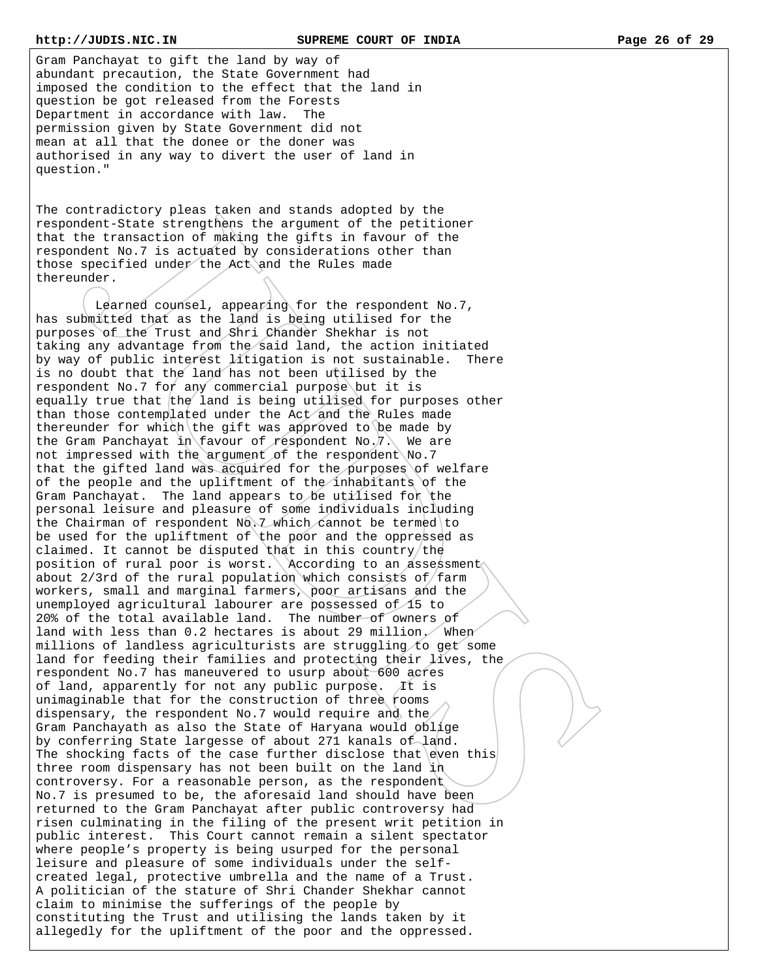Gram Panchayat to gift the land by way of abundant precaution, the State Government had imposed the condition to the effect that the land in question be got released from the Forests Department in accordance with law. The permission given by State Government did not mean at all that the donee or the doner was authorised in any way to divert the user of land in question."

The contradictory pleas taken and stands adopted by the respondent-State strengthens the argument of the petitioner that the transaction of making the gifts in favour of the respondent No.7 is actuated by considerations other than those specified under the Act and the Rules made thereunder.

 Learned counsel, appearing for the respondent No.7, has submitted that as the land is being utilised for the purposes of the Trust and Shri Chander Shekhar is not taking any advantage from the said land, the action initiated by way of public interest litigation is not sustainable. There is no doubt that the land has not been utilised by the respondent No.7 for any commercial purpose but it is equally true that the land is being utilised for purposes other than those contemplated under the Act and the Rules made thereunder for which the gift was approved to be made by the Gram Panchayat in favour of respondent No.7. We are not impressed with the argument of the respondent No.7 that the gifted land was acquired for the purposes of welfare of the people and the upliftment of the inhabitants of the Gram Panchayat. The land appears to be utilised for the personal leisure and pleasure of some individuals including the Chairman of respondent No. 7 which cannot be termed to be used for the upliftment of the poor and the oppressed as claimed. It cannot be disputed that in this country/the position of rural poor is worst. According to an assessment about  $2/3$ rd of the rural population which consists of farm workers, small and marginal farmers, poor artisans and the unemployed agricultural labourer are possessed of 15 to 20% of the total available land. The number of owners of land with less than 0.2 hectares is about 29 million. When millions of landless agriculturists are struggling to get some land for feeding their families and protecting their lives, the respondent No.7 has maneuvered to usurp about 600 acres of land, apparently for not any public purpose. It is unimaginable that for the construction of three rooms dispensary, the respondent No.7 would require and the Gram Panchayath as also the State of Haryana would oblige by conferring State largesse of about 271 kanals of land. The shocking facts of the case further disclose that even this three room dispensary has not been built on the land in controversy. For a reasonable person, as the respondent No.7 is presumed to be, the aforesaid land should have been returned to the Gram Panchayat after public controversy had risen culminating in the filing of the present writ petition in public interest. This Court cannot remain a silent spectator where people's property is being usurped for the personal leisure and pleasure of some individuals under the selfcreated legal, protective umbrella and the name of a Trust. A politician of the stature of Shri Chander Shekhar cannot claim to minimise the sufferings of the people by constituting the Trust and utilising the lands taken by it allegedly for the upliftment of the poor and the oppressed.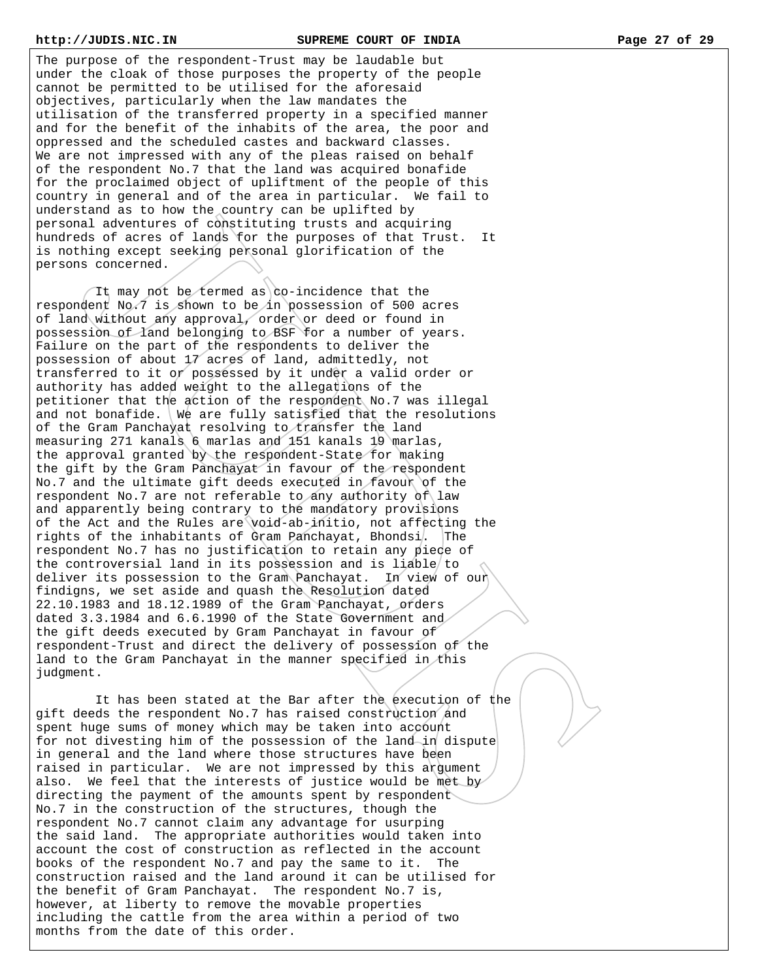The purpose of the respondent-Trust may be laudable but under the cloak of those purposes the property of the people cannot be permitted to be utilised for the aforesaid objectives, particularly when the law mandates the utilisation of the transferred property in a specified manner and for the benefit of the inhabits of the area, the poor and oppressed and the scheduled castes and backward classes. We are not impressed with any of the pleas raised on behalf of the respondent No.7 that the land was acquired bonafide for the proclaimed object of upliftment of the people of this country in general and of the area in particular. We fail to understand as to how the country can be uplifted by personal adventures of constituting trusts and acquiring hundreds of acres of lands for the purposes of that Trust. It is nothing except seeking personal glorification of the persons concerned.

It may not be termed as co-incidence that the respondent No.7 is shown to be in possession of 500 acres of land without any approval, order or deed or found in possession of land belonging to BSF for a number of years. Failure on the part of the respondents to deliver the possession of about 17 acres of land, admittedly, not transferred to it or possessed by it under a valid order or authority has added weight to the allegations of the petitioner that the action of the respondent No.7 was illegal and not bonafide. We are fully satisfied that the resolutions of the Gram Panchayat resolving to transfer the land measuring 271 kanals 6 marlas and 151 kanals 19 marlas, the approval granted by the respondent-State for making the gift by the Gram Panchayat in favour of the respondent No.7 and the ultimate gift deeds executed in favour of the respondent No.7 are not referable to any authority of law and apparently being contrary to the mandatory provisions of the Act and the Rules are void-ab-initio, not affecting the rights of the inhabitants of Gram Panchayat, Bhondsi. The respondent No.7 has no justification to retain any piece of the controversial land in its possession and is liable to deliver its possession to the Gram Panchayat. In view of our findigns, we set aside and quash the Resolution dated 22.10.1983 and 18.12.1989 of the Gram Panchayat, orders dated 3.3.1984 and 6.6.1990 of the State Government and the gift deeds executed by Gram Panchayat in favour of respondent-Trust and direct the delivery of possession of the land to the Gram Panchayat in the manner specified in this judgment.

It has been stated at the Bar after the execution of the gift deeds the respondent No.7 has raised construction and spent huge sums of money which may be taken into account for not divesting him of the possession of the land in dispute in general and the land where those structures have been raised in particular. We are not impressed by this argument also. We feel that the interests of justice would be met by directing the payment of the amounts spent by respondent No.7 in the construction of the structures, though the respondent No.7 cannot claim any advantage for usurping the said land. The appropriate authorities would taken into account the cost of construction as reflected in the account books of the respondent No.7 and pay the same to it. The construction raised and the land around it can be utilised for the benefit of Gram Panchayat. The respondent No.7 is, however, at liberty to remove the movable properties including the cattle from the area within a period of two months from the date of this order.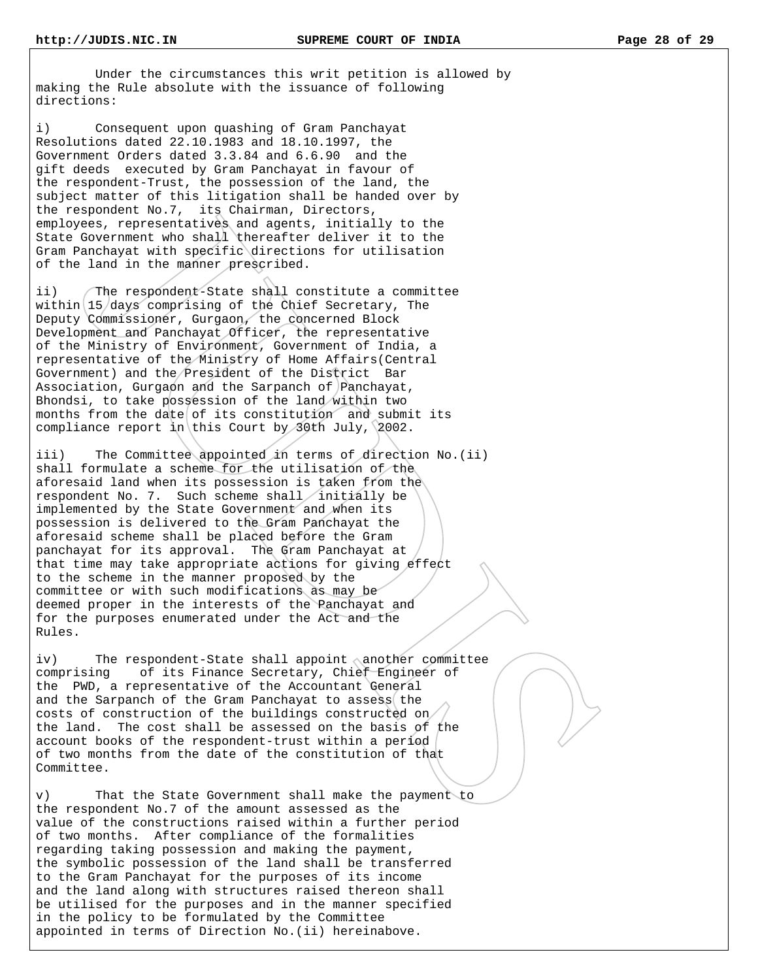Under the circumstances this writ petition is allowed by making the Rule absolute with the issuance of following directions:

i) Consequent upon quashing of Gram Panchayat Resolutions dated 22.10.1983 and 18.10.1997, the Government Orders dated 3.3.84 and 6.6.90 and the gift deeds executed by Gram Panchayat in favour of the respondent-Trust, the possession of the land, the subject matter of this litigation shall be handed over by the respondent No.7, its Chairman, Directors, employees, representatives and agents, initially to the State Government who shall thereafter deliver it to the Gram Panchayat with specific directions for utilisation of the land in the manner prescribed.

ii) The respondent-State shall constitute a committee within  $15$  days comprising of the Chief Secretary, The Deputy Commissioner, Gurgaon, the concerned Block Development and Panchayat Officer, the representative of the Ministry of Environment, Government of India, a representative of the Ministry of Home Affairs(Central Government) and the President of the District Bar Association, Gurgaon and the Sarpanch of Panchayat, Bhondsi, to take possession of the land within two months from the date of its constitution and submit its compliance report in this Court by 30th July,  $2002$ .

iii) The Committee appointed in terms of direction No.(ii) shall formulate a scheme for the utilisation of the aforesaid land when its possession is taken from the respondent No. 7. Such scheme shall initially be implemented by the State Government and when its possession is delivered to the Gram Panchayat the aforesaid scheme shall be placed before the Gram panchayat for its approval. The Gram Panchayat at that time may take appropriate actions for giving effect to the scheme in the manner proposed by the committee or with such modifications as may be deemed proper in the interests of the Panchayat and for the purposes enumerated under the Act and the Rules.

iv) The respondent-State shall appoint another committee comprising of its Finance Secretary, Chief Engineer of the PWD, a representative of the Accountant General and the Sarpanch of the Gram Panchayat to assess the costs of construction of the buildings constructed on the land. The cost shall be assessed on the basis of the account books of the respondent-trust within a period of two months from the date of the constitution of that Committee.

v) That the State Government shall make the payment to the respondent No.7 of the amount assessed as the value of the constructions raised within a further period of two months. After compliance of the formalities regarding taking possession and making the payment, the symbolic possession of the land shall be transferred to the Gram Panchayat for the purposes of its income and the land along with structures raised thereon shall be utilised for the purposes and in the manner specified in the policy to be formulated by the Committee appointed in terms of Direction No.(ii) hereinabove.